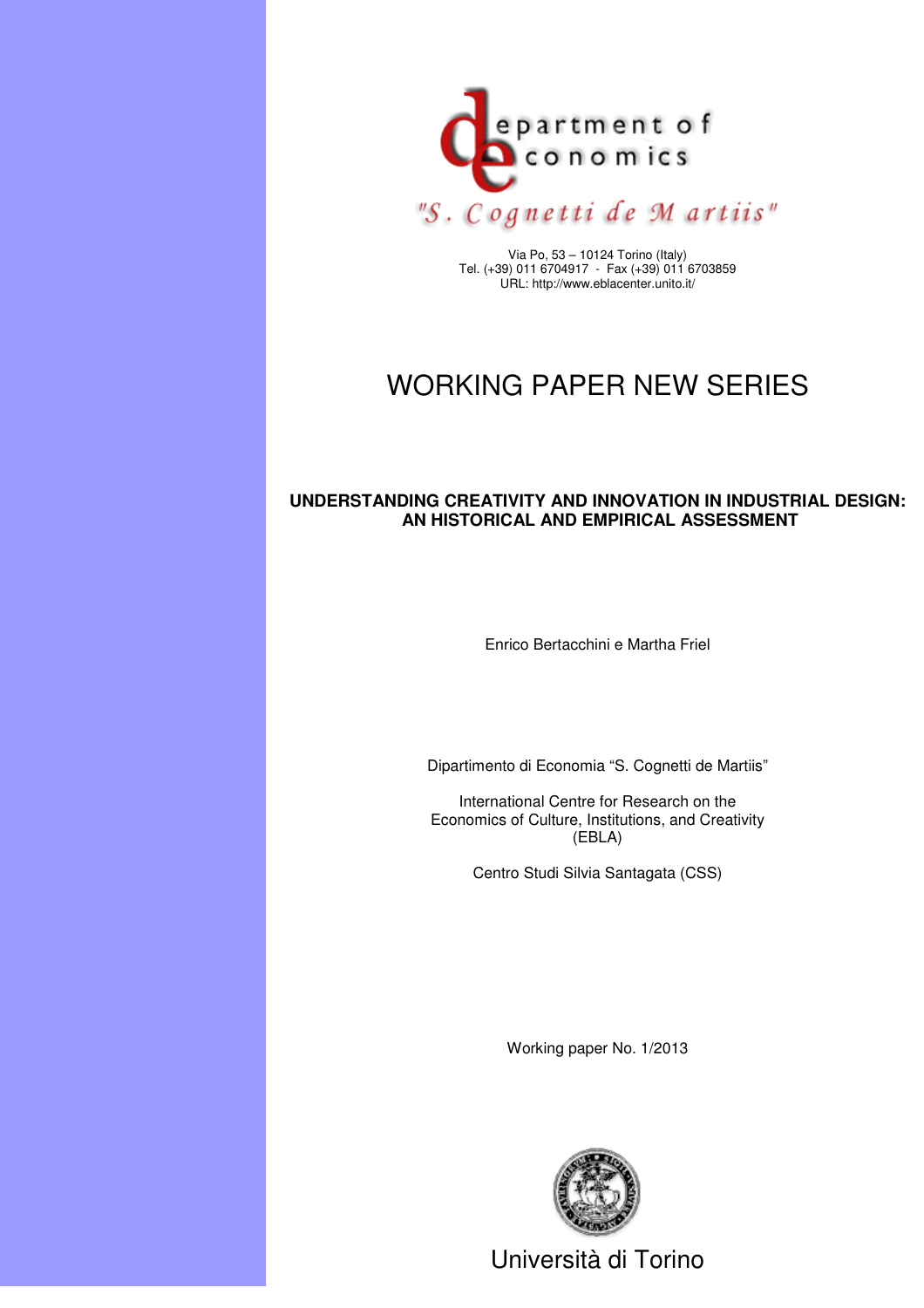

Via Po, 53 – 10124 Torino (Italy) Tel. (+39) 011 6704917 - Fax (+39) 011 6703859 URL: http://www.eblacenter.unito.it/

# WORKING PAPER NEW SERIES

#### **UNDERSTANDING CREATIVITY AND INNOVATION IN INDUSTRIAL DESIGN: AN HISTORICAL AND EMPIRICAL ASSESSMENT**

Enrico Bertacchini e Martha Friel

Dipartimento di Economia "S. Cognetti de Martiis"

International Centre for Research on the Economics of Culture, Institutions, and Creativity (EBLA)

Centro Studi Silvia Santagata (CSS)

Working paper No. 1/2013



Università di Torino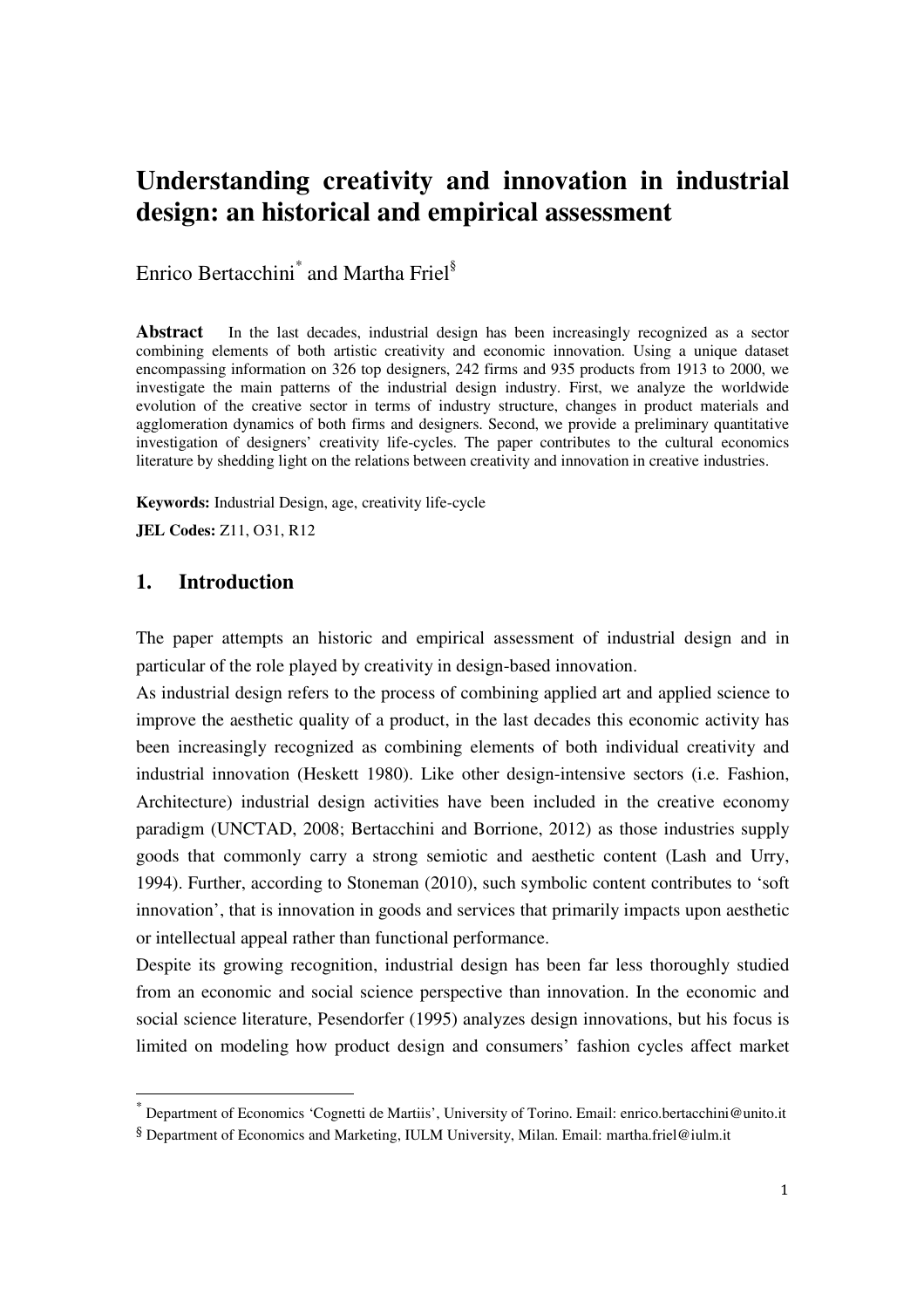## **Understanding creativity and innovation in industrial design: an historical and empirical assessment**

Enrico Bertacchini<sup>\*</sup> and Martha Friel<sup>§</sup>

**Abstract** In the last decades, industrial design has been increasingly recognized as a sector combining elements of both artistic creativity and economic innovation. Using a unique dataset encompassing information on 326 top designers, 242 firms and 935 products from 1913 to 2000, we investigate the main patterns of the industrial design industry. First, we analyze the worldwide evolution of the creative sector in terms of industry structure, changes in product materials and agglomeration dynamics of both firms and designers. Second, we provide a preliminary quantitative investigation of designers' creativity life-cycles. The paper contributes to the cultural economics literature by shedding light on the relations between creativity and innovation in creative industries.

**Keywords:** Industrial Design, age, creativity life-cycle

**JEL Codes:** Z11, O31, R12

#### **1. Introduction**

 $\overline{\phantom{a}}$ 

The paper attempts an historic and empirical assessment of industrial design and in particular of the role played by creativity in design-based innovation.

As industrial design refers to the process of combining applied art and applied science to improve the aesthetic quality of a product, in the last decades this economic activity has been increasingly recognized as combining elements of both individual creativity and industrial innovation (Heskett 1980). Like other design-intensive sectors (i.e. Fashion, Architecture) industrial design activities have been included in the creative economy paradigm (UNCTAD, 2008; Bertacchini and Borrione, 2012) as those industries supply goods that commonly carry a strong semiotic and aesthetic content (Lash and Urry, 1994). Further, according to Stoneman (2010), such symbolic content contributes to 'soft innovation', that is innovation in goods and services that primarily impacts upon aesthetic or intellectual appeal rather than functional performance.

Despite its growing recognition, industrial design has been far less thoroughly studied from an economic and social science perspective than innovation. In the economic and social science literature, Pesendorfer (1995) analyzes design innovations, but his focus is limited on modeling how product design and consumers' fashion cycles affect market

<sup>\*</sup> Department of Economics 'Cognetti de Martiis', University of Torino. Email: enrico.bertacchini@unito.it

<sup>§</sup> Department of Economics and Marketing, IULM University, Milan. Email: martha.friel@iulm.it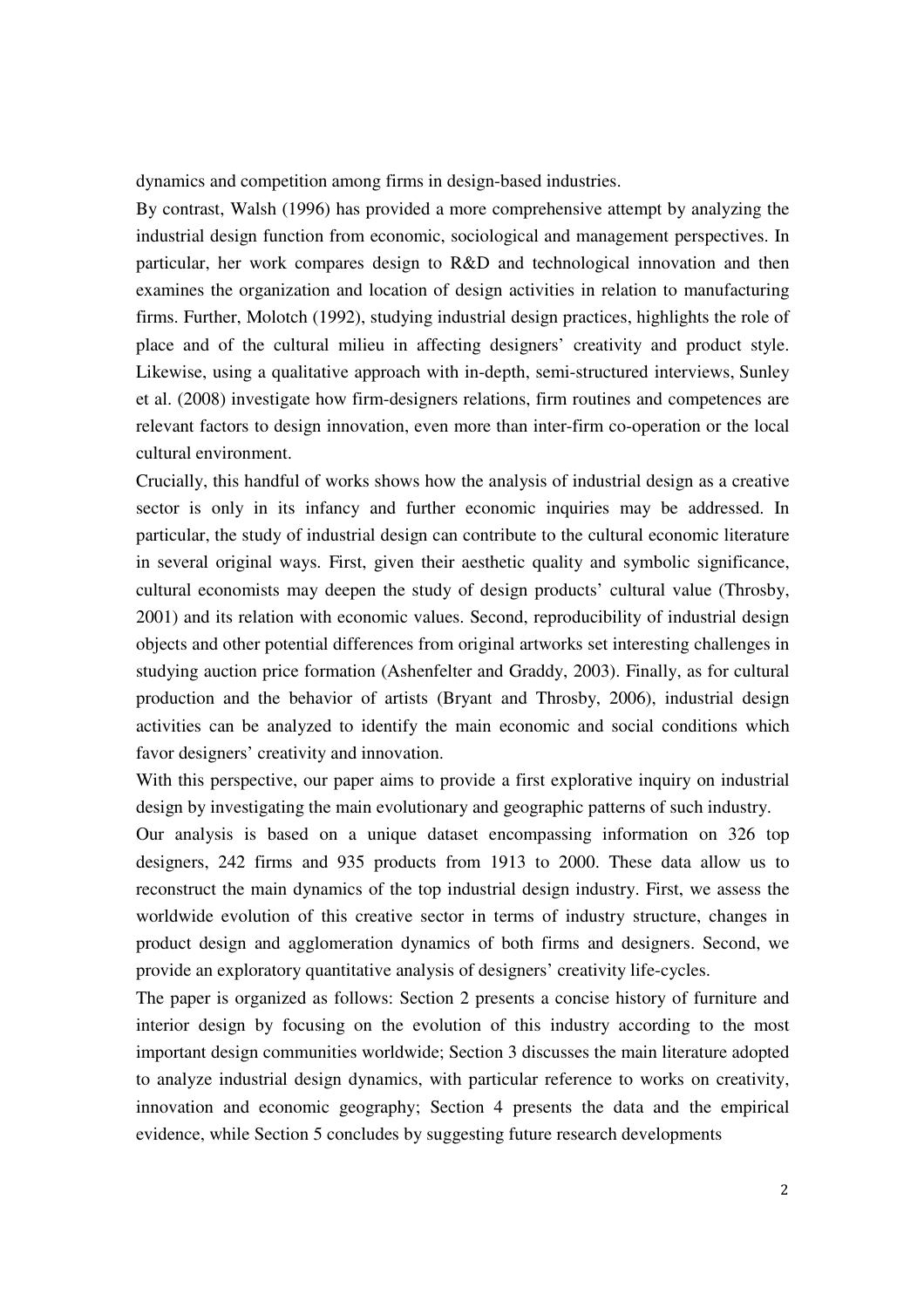dynamics and competition among firms in design-based industries.

By contrast, Walsh (1996) has provided a more comprehensive attempt by analyzing the industrial design function from economic, sociological and management perspectives. In particular, her work compares design to R&D and technological innovation and then examines the organization and location of design activities in relation to manufacturing firms. Further, Molotch (1992), studying industrial design practices, highlights the role of place and of the cultural milieu in affecting designers' creativity and product style. Likewise, using a qualitative approach with in-depth, semi-structured interviews, Sunley et al. (2008) investigate how firm-designers relations, firm routines and competences are relevant factors to design innovation, even more than inter-firm co-operation or the local cultural environment.

Crucially, this handful of works shows how the analysis of industrial design as a creative sector is only in its infancy and further economic inquiries may be addressed. In particular, the study of industrial design can contribute to the cultural economic literature in several original ways. First, given their aesthetic quality and symbolic significance, cultural economists may deepen the study of design products' cultural value (Throsby, 2001) and its relation with economic values. Second, reproducibility of industrial design objects and other potential differences from original artworks set interesting challenges in studying auction price formation (Ashenfelter and Graddy, 2003). Finally, as for cultural production and the behavior of artists (Bryant and Throsby, 2006), industrial design activities can be analyzed to identify the main economic and social conditions which favor designers' creativity and innovation.

With this perspective, our paper aims to provide a first explorative inquiry on industrial design by investigating the main evolutionary and geographic patterns of such industry.

Our analysis is based on a unique dataset encompassing information on 326 top designers, 242 firms and 935 products from 1913 to 2000. These data allow us to reconstruct the main dynamics of the top industrial design industry. First, we assess the worldwide evolution of this creative sector in terms of industry structure, changes in product design and agglomeration dynamics of both firms and designers. Second, we provide an exploratory quantitative analysis of designers' creativity life-cycles.

The paper is organized as follows: Section 2 presents a concise history of furniture and interior design by focusing on the evolution of this industry according to the most important design communities worldwide; Section 3 discusses the main literature adopted to analyze industrial design dynamics, with particular reference to works on creativity, innovation and economic geography; Section 4 presents the data and the empirical evidence, while Section 5 concludes by suggesting future research developments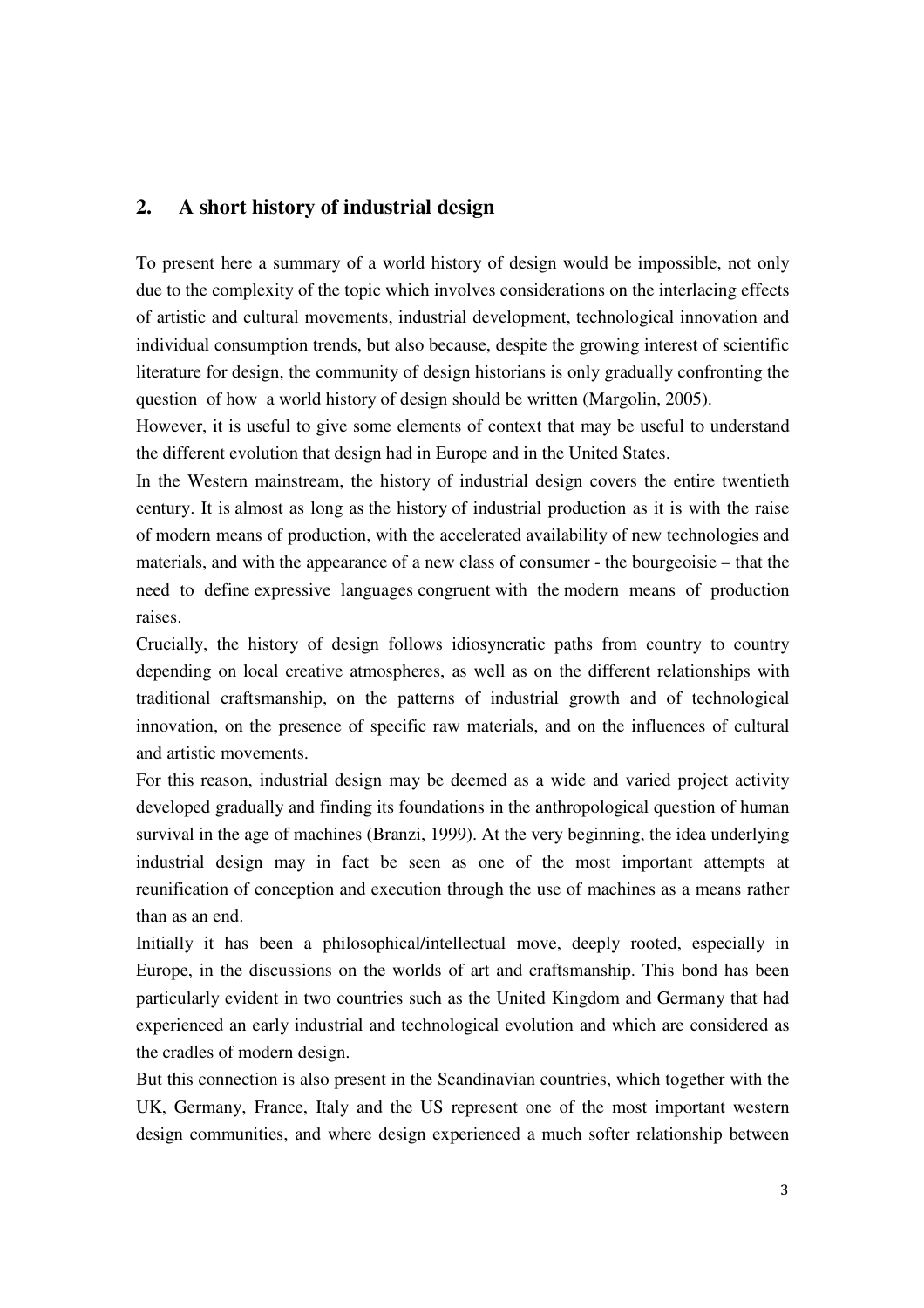### **2. A short history of industrial design**

To present here a summary of a world history of design would be impossible, not only due to the complexity of the topic which involves considerations on the interlacing effects of artistic and cultural movements, industrial development, technological innovation and individual consumption trends, but also because, despite the growing interest of scientific literature for design, the community of design historians is only gradually confronting the question of how a world history of design should be written (Margolin, 2005).

However, it is useful to give some elements of context that may be useful to understand the different evolution that design had in Europe and in the United States.

In the Western mainstream, the history of industrial design covers the entire twentieth century. It is almost as long as the history of industrial production as it is with the raise of modern means of production, with the accelerated availability of new technologies and materials, and with the appearance of a new class of consumer - the bourgeoisie – that the need to define expressive languages congruent with the modern means of production raises.

Crucially, the history of design follows idiosyncratic paths from country to country depending on local creative atmospheres, as well as on the different relationships with traditional craftsmanship, on the patterns of industrial growth and of technological innovation, on the presence of specific raw materials, and on the influences of cultural and artistic movements.

For this reason, industrial design may be deemed as a wide and varied project activity developed gradually and finding its foundations in the anthropological question of human survival in the age of machines (Branzi, 1999). At the very beginning, the idea underlying industrial design may in fact be seen as one of the most important attempts at reunification of conception and execution through the use of machines as a means rather than as an end.

Initially it has been a philosophical/intellectual move, deeply rooted, especially in Europe, in the discussions on the worlds of art and craftsmanship. This bond has been particularly evident in two countries such as the United Kingdom and Germany that had experienced an early industrial and technological evolution and which are considered as the cradles of modern design.

But this connection is also present in the Scandinavian countries, which together with the UK, Germany, France, Italy and the US represent one of the most important western design communities, and where design experienced a much softer relationship between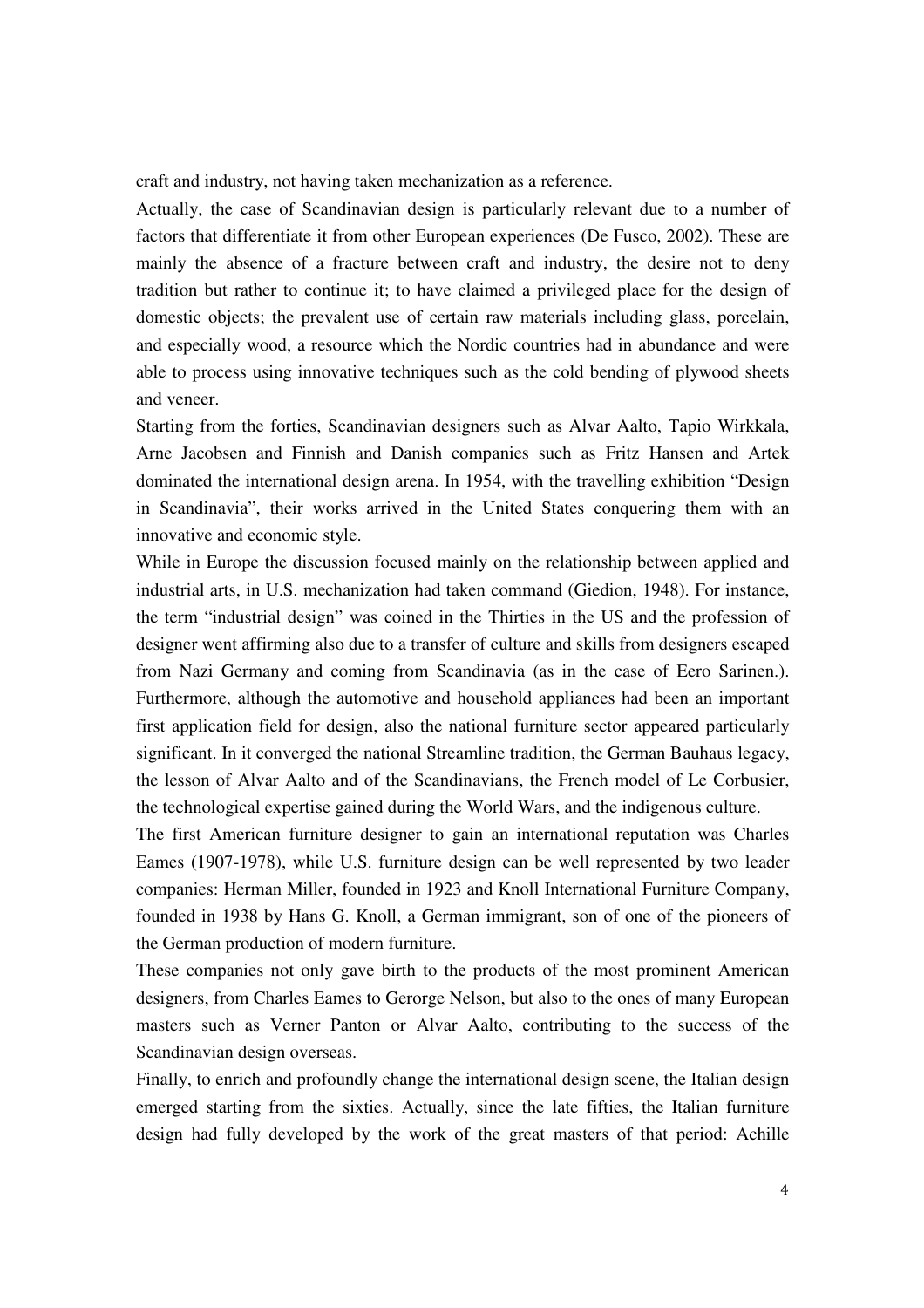craft and industry, not having taken mechanization as a reference.

Actually, the case of Scandinavian design is particularly relevant due to a number of factors that differentiate it from other European experiences (De Fusco, 2002). These are mainly the absence of a fracture between craft and industry, the desire not to deny tradition but rather to continue it; to have claimed a privileged place for the design of domestic objects; the prevalent use of certain raw materials including glass, porcelain, and especially wood, a resource which the Nordic countries had in abundance and were able to process using innovative techniques such as the cold bending of plywood sheets and veneer.

Starting from the forties, Scandinavian designers such as Alvar Aalto, Tapio Wirkkala, Arne Jacobsen and Finnish and Danish companies such as Fritz Hansen and Artek dominated the international design arena. In 1954, with the travelling exhibition "Design in Scandinavia", their works arrived in the United States conquering them with an innovative and economic style.

While in Europe the discussion focused mainly on the relationship between applied and industrial arts, in U.S. mechanization had taken command (Giedion, 1948). For instance, the term "industrial design" was coined in the Thirties in the US and the profession of designer went affirming also due to a transfer of culture and skills from designers escaped from Nazi Germany and coming from Scandinavia (as in the case of Eero Sarinen.). Furthermore, although the automotive and household appliances had been an important first application field for design, also the national furniture sector appeared particularly significant. In it converged the national Streamline tradition, the German Bauhaus legacy, the lesson of Alvar Aalto and of the Scandinavians, the French model of Le Corbusier, the technological expertise gained during the World Wars, and the indigenous culture.

The first American furniture designer to gain an international reputation was Charles Eames (1907-1978), while U.S. furniture design can be well represented by two leader companies: Herman Miller, founded in 1923 and Knoll International Furniture Company, founded in 1938 by Hans G. Knoll, a German immigrant, son of one of the pioneers of the German production of modern furniture.

These companies not only gave birth to the products of the most prominent American designers, from Charles Eames to Gerorge Nelson, but also to the ones of many European masters such as Verner Panton or Alvar Aalto, contributing to the success of the Scandinavian design overseas.

Finally, to enrich and profoundly change the international design scene, the Italian design emerged starting from the sixties. Actually, since the late fifties, the Italian furniture design had fully developed by the work of the great masters of that period: Achille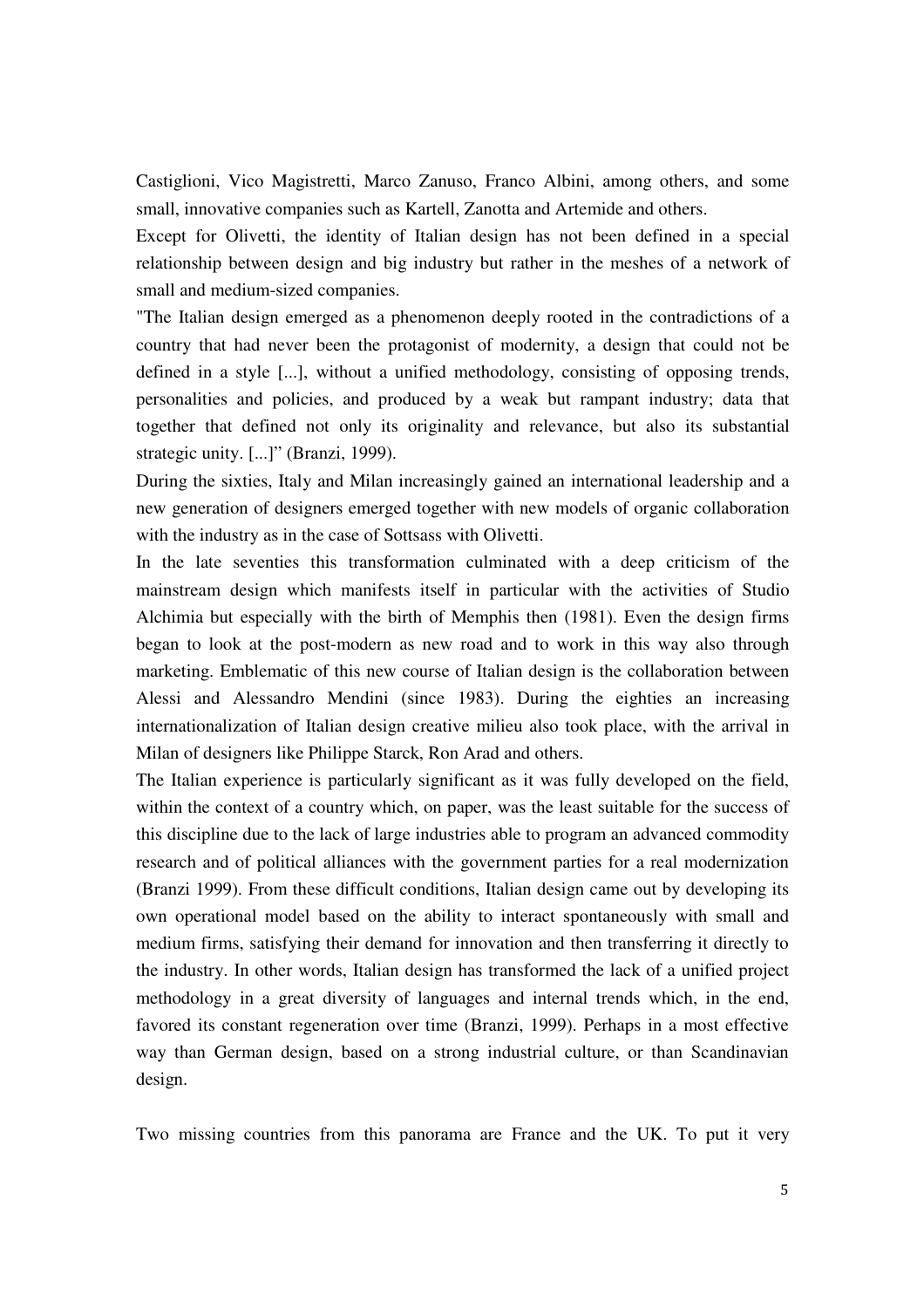Castiglioni, Vico Magistretti, Marco Zanuso, Franco Albini, among others, and some small, innovative companies such as Kartell, Zanotta and Artemide and others.

Except for Olivetti, the identity of Italian design has not been defined in a special relationship between design and big industry but rather in the meshes of a network of small and medium-sized companies.

"The Italian design emerged as a phenomenon deeply rooted in the contradictions of a country that had never been the protagonist of modernity, a design that could not be defined in a style [...], without a unified methodology, consisting of opposing trends, personalities and policies, and produced by a weak but rampant industry; data that together that defined not only its originality and relevance, but also its substantial strategic unity. [...]" (Branzi, 1999).

During the sixties, Italy and Milan increasingly gained an international leadership and a new generation of designers emerged together with new models of organic collaboration with the industry as in the case of Sottsass with Olivetti.

In the late seventies this transformation culminated with a deep criticism of the mainstream design which manifests itself in particular with the activities of Studio Alchimia but especially with the birth of Memphis then (1981). Even the design firms began to look at the post-modern as new road and to work in this way also through marketing. Emblematic of this new course of Italian design is the collaboration between Alessi and Alessandro Mendini (since 1983). During the eighties an increasing internationalization of Italian design creative milieu also took place, with the arrival in Milan of designers like Philippe Starck, Ron Arad and others.

The Italian experience is particularly significant as it was fully developed on the field, within the context of a country which, on paper, was the least suitable for the success of this discipline due to the lack of large industries able to program an advanced commodity research and of political alliances with the government parties for a real modernization (Branzi 1999). From these difficult conditions, Italian design came out by developing its own operational model based on the ability to interact spontaneously with small and medium firms, satisfying their demand for innovation and then transferring it directly to the industry. In other words, Italian design has transformed the lack of a unified project methodology in a great diversity of languages and internal trends which, in the end, favored its constant regeneration over time (Branzi, 1999). Perhaps in a most effective way than German design, based on a strong industrial culture, or than Scandinavian design.

Two missing countries from this panorama are France and the UK. To put it very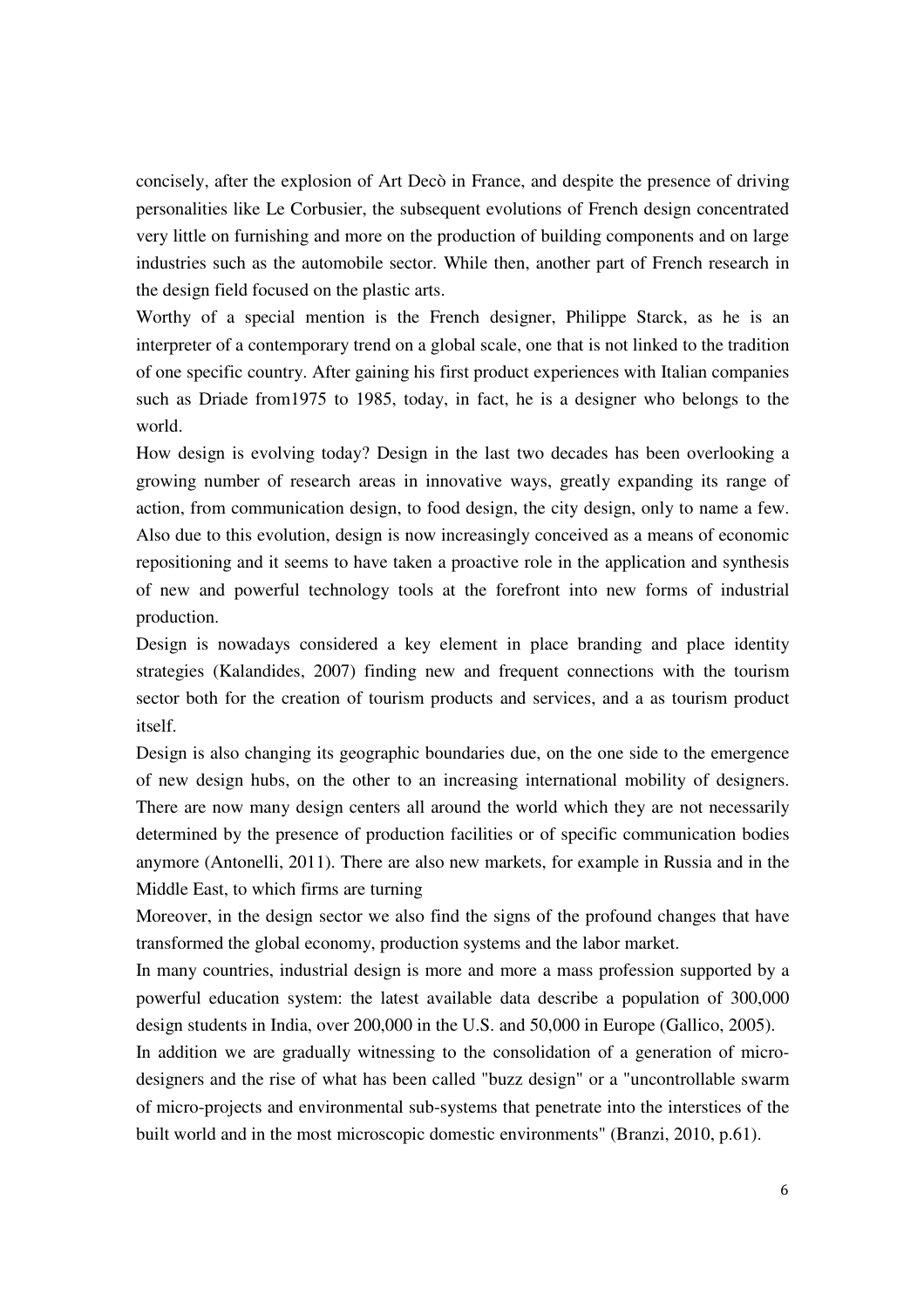concisely, after the explosion of Art Decò in France, and despite the presence of driving personalities like Le Corbusier, the subsequent evolutions of French design concentrated very little on furnishing and more on the production of building components and on large industries such as the automobile sector. While then, another part of French research in the design field focused on the plastic arts.

Worthy of a special mention is the French designer, Philippe Starck, as he is an interpreter of a contemporary trend on a global scale, one that is not linked to the tradition of one specific country. After gaining his first product experiences with Italian companies such as Driade from1975 to 1985, today, in fact, he is a designer who belongs to the world.

How design is evolving today? Design in the last two decades has been overlooking a growing number of research areas in innovative ways, greatly expanding its range of action, from communication design, to food design, the city design, only to name a few. Also due to this evolution, design is now increasingly conceived as a means of economic repositioning and it seems to have taken a proactive role in the application and synthesis of new and powerful technology tools at the forefront into new forms of industrial production.

Design is nowadays considered a key element in place branding and place identity strategies (Kalandides, 2007) finding new and frequent connections with the tourism sector both for the creation of tourism products and services, and a as tourism product itself.

Design is also changing its geographic boundaries due, on the one side to the emergence of new design hubs, on the other to an increasing international mobility of designers. There are now many design centers all around the world which they are not necessarily determined by the presence of production facilities or of specific communication bodies anymore (Antonelli, 2011). There are also new markets, for example in Russia and in the Middle East, to which firms are turning

Moreover, in the design sector we also find the signs of the profound changes that have transformed the global economy, production systems and the labor market.

In many countries, industrial design is more and more a mass profession supported by a powerful education system: the latest available data describe a population of 300,000 design students in India, over 200,000 in the U.S. and 50,000 in Europe (Gallico, 2005).

In addition we are gradually witnessing to the consolidation of a generation of microdesigners and the rise of what has been called "buzz design" or a "uncontrollable swarm of micro-projects and environmental sub-systems that penetrate into the interstices of the built world and in the most microscopic domestic environments" (Branzi, 2010, p.61).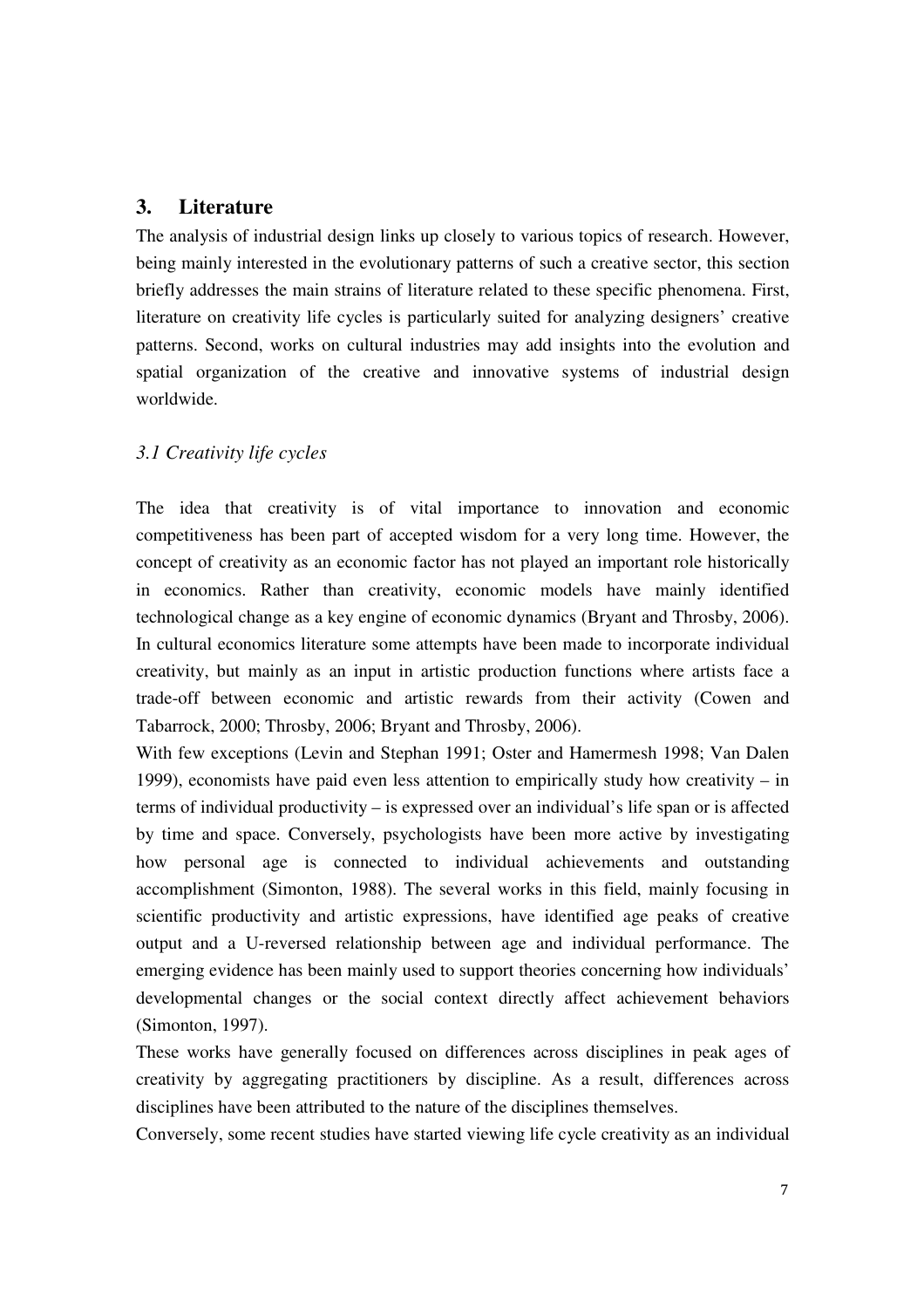#### **3. Literature**

The analysis of industrial design links up closely to various topics of research. However, being mainly interested in the evolutionary patterns of such a creative sector, this section briefly addresses the main strains of literature related to these specific phenomena. First, literature on creativity life cycles is particularly suited for analyzing designers' creative patterns. Second, works on cultural industries may add insights into the evolution and spatial organization of the creative and innovative systems of industrial design worldwide.

#### *3.1 Creativity life cycles*

The idea that creativity is of vital importance to innovation and economic competitiveness has been part of accepted wisdom for a very long time. However, the concept of creativity as an economic factor has not played an important role historically in economics. Rather than creativity, economic models have mainly identified technological change as a key engine of economic dynamics (Bryant and Throsby, 2006). In cultural economics literature some attempts have been made to incorporate individual creativity, but mainly as an input in artistic production functions where artists face a trade-off between economic and artistic rewards from their activity (Cowen and Tabarrock, 2000; Throsby, 2006; Bryant and Throsby, 2006).

With few exceptions (Levin and Stephan 1991; Oster and Hamermesh 1998; Van Dalen 1999), economists have paid even less attention to empirically study how creativity – in terms of individual productivity – is expressed over an individual's life span or is affected by time and space. Conversely, psychologists have been more active by investigating how personal age is connected to individual achievements and outstanding accomplishment (Simonton, 1988). The several works in this field, mainly focusing in scientific productivity and artistic expressions, have identified age peaks of creative output and a U-reversed relationship between age and individual performance. The emerging evidence has been mainly used to support theories concerning how individuals' developmental changes or the social context directly affect achievement behaviors (Simonton, 1997).

These works have generally focused on differences across disciplines in peak ages of creativity by aggregating practitioners by discipline. As a result, differences across disciplines have been attributed to the nature of the disciplines themselves.

Conversely, some recent studies have started viewing life cycle creativity as an individual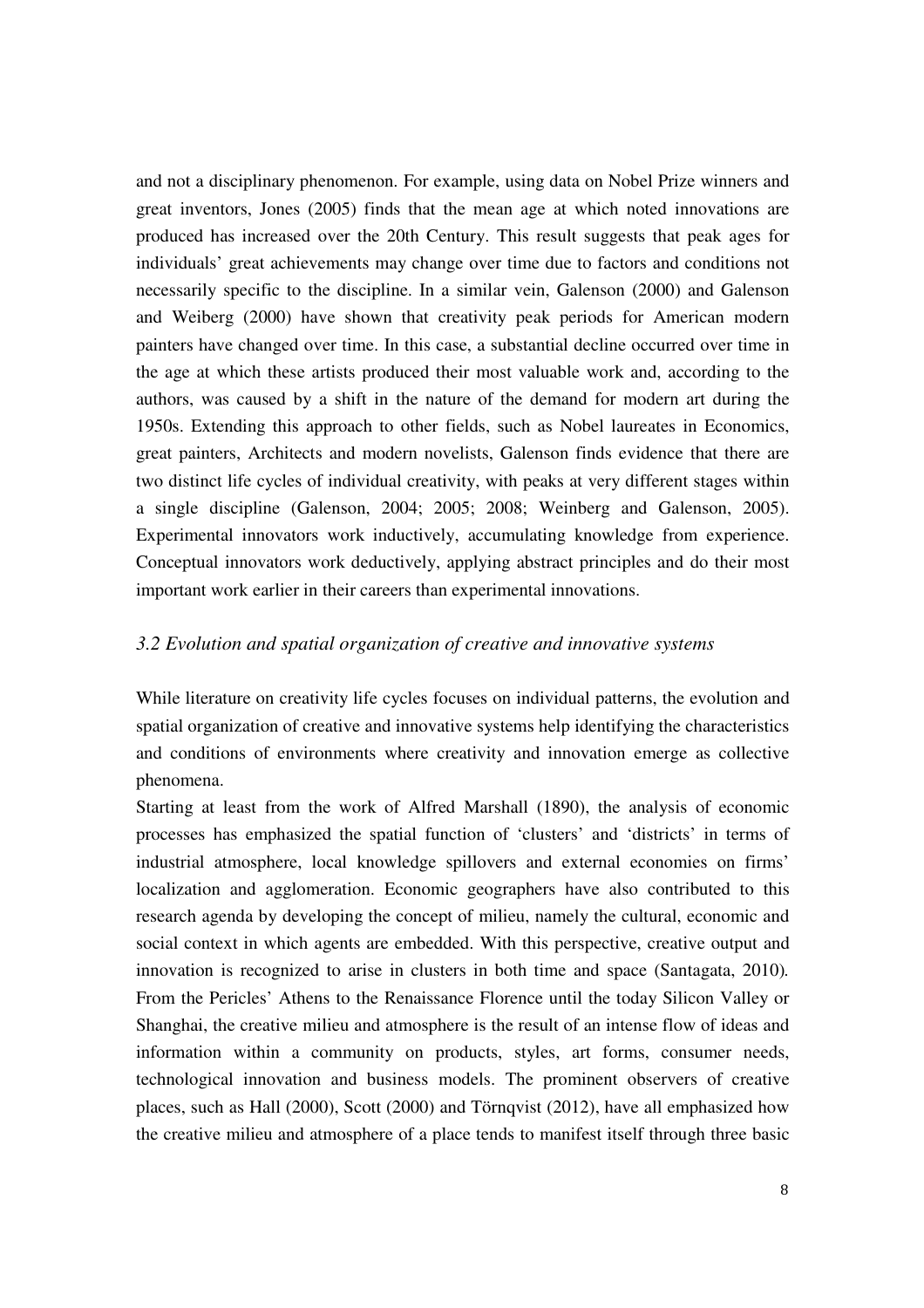and not a disciplinary phenomenon. For example, using data on Nobel Prize winners and great inventors, Jones (2005) finds that the mean age at which noted innovations are produced has increased over the 20th Century. This result suggests that peak ages for individuals' great achievements may change over time due to factors and conditions not necessarily specific to the discipline. In a similar vein, Galenson (2000) and Galenson and Weiberg (2000) have shown that creativity peak periods for American modern painters have changed over time. In this case, a substantial decline occurred over time in the age at which these artists produced their most valuable work and, according to the authors, was caused by a shift in the nature of the demand for modern art during the 1950s. Extending this approach to other fields, such as Nobel laureates in Economics, great painters, Architects and modern novelists, Galenson finds evidence that there are two distinct life cycles of individual creativity, with peaks at very different stages within a single discipline (Galenson, 2004; 2005; 2008; Weinberg and Galenson, 2005). Experimental innovators work inductively, accumulating knowledge from experience. Conceptual innovators work deductively, applying abstract principles and do their most important work earlier in their careers than experimental innovations.

#### *3.2 Evolution and spatial organization of creative and innovative systems*

While literature on creativity life cycles focuses on individual patterns, the evolution and spatial organization of creative and innovative systems help identifying the characteristics and conditions of environments where creativity and innovation emerge as collective phenomena.

Starting at least from the work of Alfred Marshall (1890), the analysis of economic processes has emphasized the spatial function of 'clusters' and 'districts' in terms of industrial atmosphere, local knowledge spillovers and external economies on firms' localization and agglomeration. Economic geographers have also contributed to this research agenda by developing the concept of milieu, namely the cultural, economic and social context in which agents are embedded. With this perspective, creative output and innovation is recognized to arise in clusters in both time and space (Santagata, 2010)*.* From the Pericles' Athens to the Renaissance Florence until the today Silicon Valley or Shanghai, the creative milieu and atmosphere is the result of an intense flow of ideas and information within a community on products, styles, art forms, consumer needs, technological innovation and business models. The prominent observers of creative places, such as Hall (2000), Scott (2000) and Törnqvist (2012), have all emphasized how the creative milieu and atmosphere of a place tends to manifest itself through three basic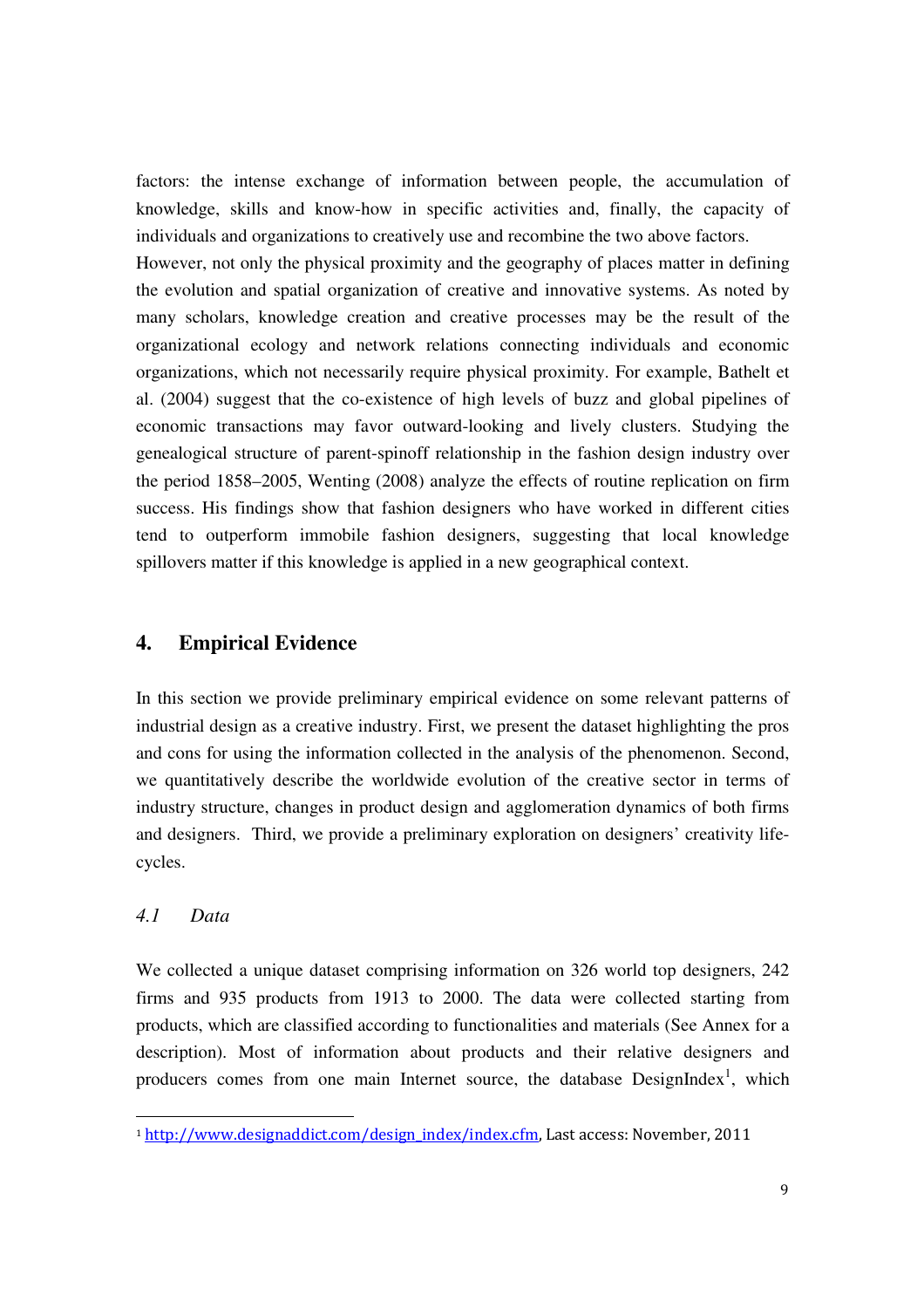factors: the intense exchange of information between people, the accumulation of knowledge, skills and know-how in specific activities and, finally, the capacity of individuals and organizations to creatively use and recombine the two above factors.

However, not only the physical proximity and the geography of places matter in defining the evolution and spatial organization of creative and innovative systems. As noted by many scholars, knowledge creation and creative processes may be the result of the organizational ecology and network relations connecting individuals and economic organizations, which not necessarily require physical proximity. For example, Bathelt et al. (2004) suggest that the co-existence of high levels of buzz and global pipelines of economic transactions may favor outward-looking and lively clusters. Studying the genealogical structure of parent-spinoff relationship in the fashion design industry over the period 1858–2005, Wenting (2008) analyze the effects of routine replication on firm success. His findings show that fashion designers who have worked in different cities tend to outperform immobile fashion designers, suggesting that local knowledge spillovers matter if this knowledge is applied in a new geographical context.

#### **4. Empirical Evidence**

In this section we provide preliminary empirical evidence on some relevant patterns of industrial design as a creative industry. First, we present the dataset highlighting the pros and cons for using the information collected in the analysis of the phenomenon. Second, we quantitatively describe the worldwide evolution of the creative sector in terms of industry structure, changes in product design and agglomeration dynamics of both firms and designers. Third, we provide a preliminary exploration on designers' creativity lifecycles.

#### *4.1 Data*

<u>.</u>

We collected a unique dataset comprising information on 326 world top designers, 242 firms and 935 products from 1913 to 2000. The data were collected starting from products, which are classified according to functionalities and materials (See Annex for a description). Most of information about products and their relative designers and producers comes from one main Internet source, the database  $DesignIndex<sup>1</sup>$ , which

<sup>1</sup> http://www.designaddict.com/design\_index/index.cfm, Last access: November, 2011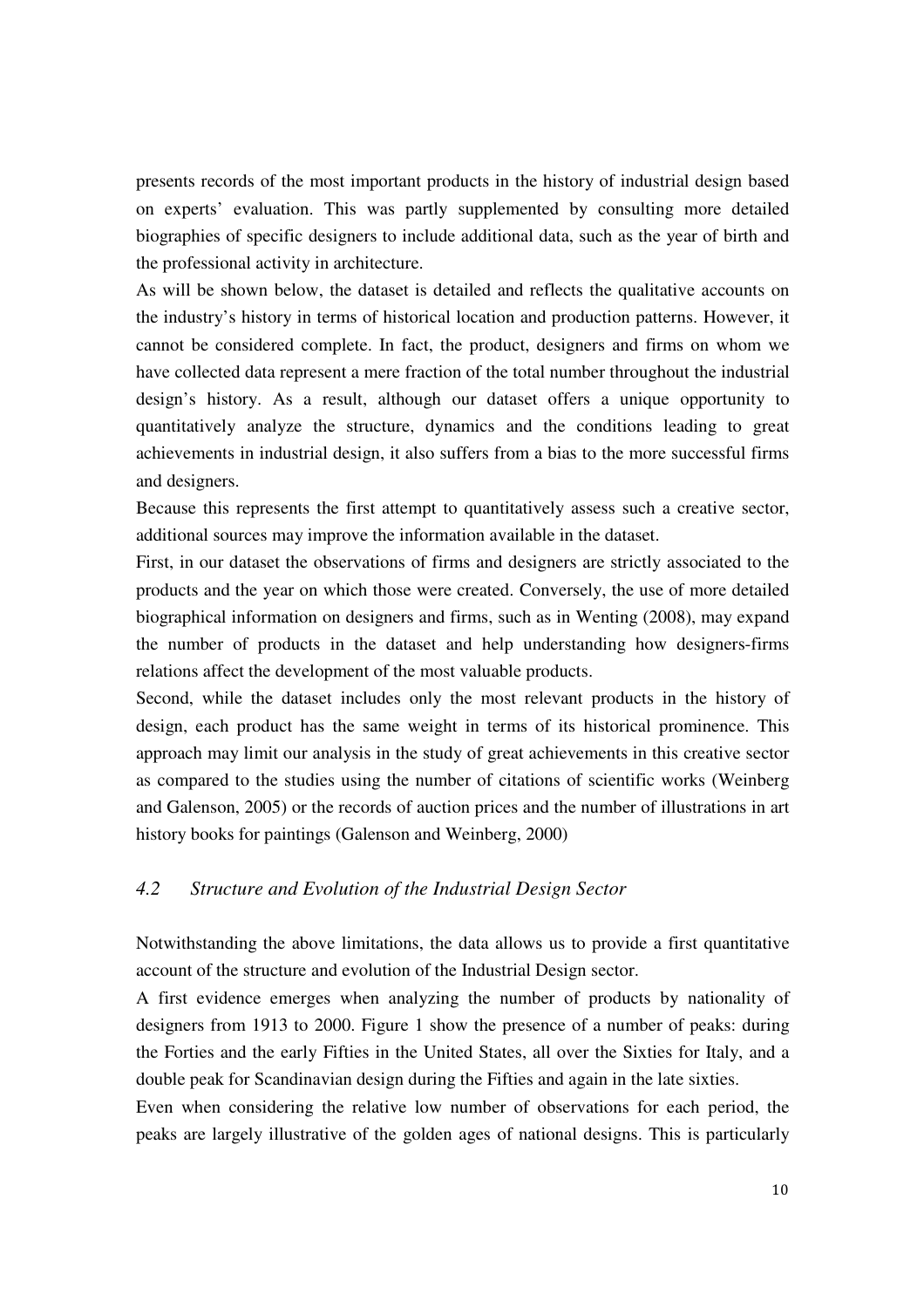presents records of the most important products in the history of industrial design based on experts' evaluation. This was partly supplemented by consulting more detailed biographies of specific designers to include additional data, such as the year of birth and the professional activity in architecture.

As will be shown below, the dataset is detailed and reflects the qualitative accounts on the industry's history in terms of historical location and production patterns. However, it cannot be considered complete. In fact, the product, designers and firms on whom we have collected data represent a mere fraction of the total number throughout the industrial design's history. As a result, although our dataset offers a unique opportunity to quantitatively analyze the structure, dynamics and the conditions leading to great achievements in industrial design, it also suffers from a bias to the more successful firms and designers.

Because this represents the first attempt to quantitatively assess such a creative sector, additional sources may improve the information available in the dataset.

First, in our dataset the observations of firms and designers are strictly associated to the products and the year on which those were created. Conversely, the use of more detailed biographical information on designers and firms, such as in Wenting (2008), may expand the number of products in the dataset and help understanding how designers-firms relations affect the development of the most valuable products.

Second, while the dataset includes only the most relevant products in the history of design, each product has the same weight in terms of its historical prominence. This approach may limit our analysis in the study of great achievements in this creative sector as compared to the studies using the number of citations of scientific works (Weinberg and Galenson, 2005) or the records of auction prices and the number of illustrations in art history books for paintings (Galenson and Weinberg, 2000)

#### *4.2 Structure and Evolution of the Industrial Design Sector*

Notwithstanding the above limitations, the data allows us to provide a first quantitative account of the structure and evolution of the Industrial Design sector.

A first evidence emerges when analyzing the number of products by nationality of designers from 1913 to 2000. Figure 1 show the presence of a number of peaks: during the Forties and the early Fifties in the United States, all over the Sixties for Italy, and a double peak for Scandinavian design during the Fifties and again in the late sixties.

Even when considering the relative low number of observations for each period, the peaks are largely illustrative of the golden ages of national designs. This is particularly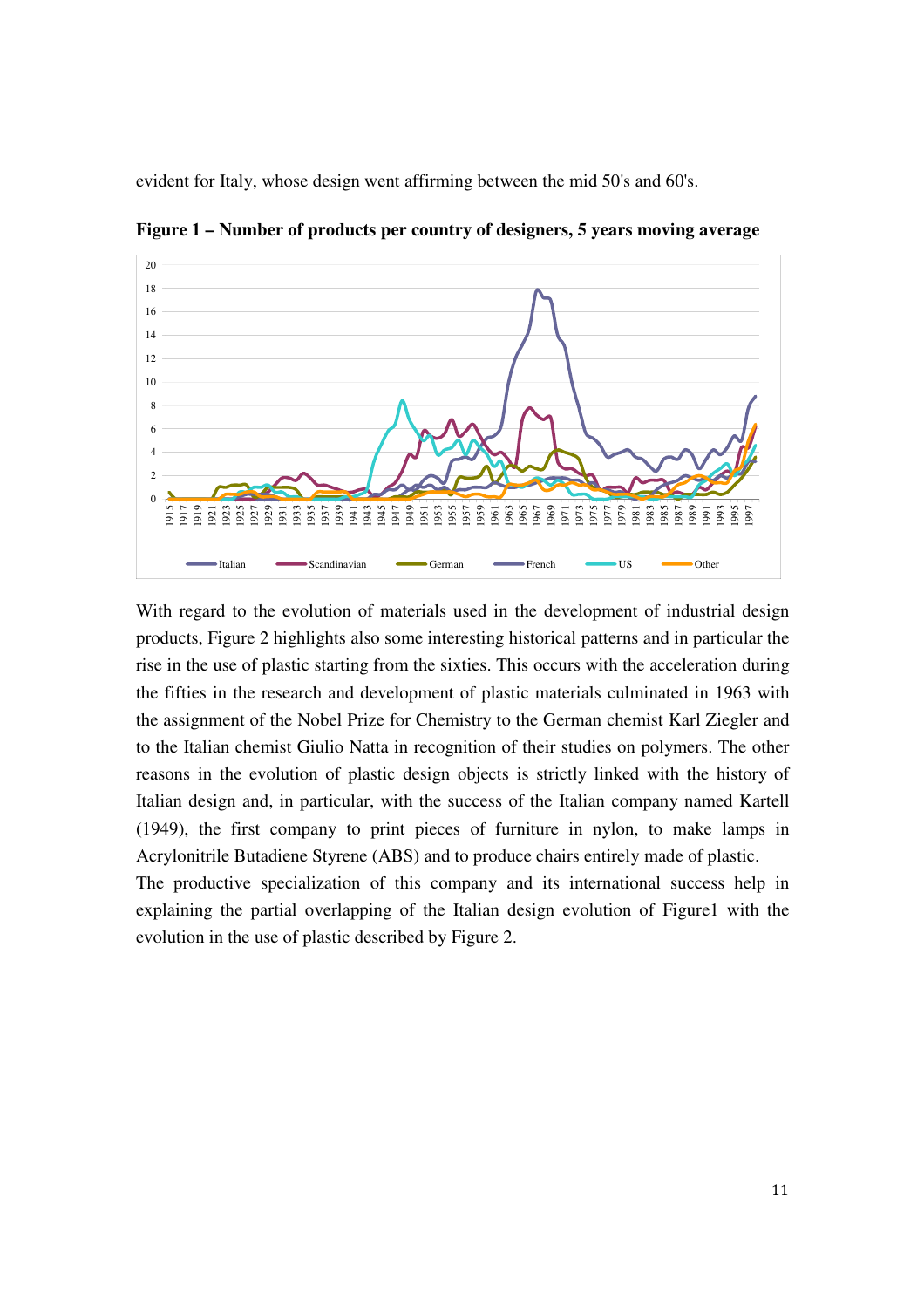evident for Italy, whose design went affirming between the mid 50's and 60's.



**Figure 1 – Number of products per country of designers, 5 years moving average** 

With regard to the evolution of materials used in the development of industrial design products, Figure 2 highlights also some interesting historical patterns and in particular the rise in the use of plastic starting from the sixties. This occurs with the acceleration during the fifties in the research and development of plastic materials culminated in 1963 with the assignment of the Nobel Prize for Chemistry to the German chemist Karl Ziegler and to the Italian chemist Giulio Natta in recognition of their studies on polymers. The other reasons in the evolution of plastic design objects is strictly linked with the history of Italian design and, in particular, with the success of the Italian company named Kartell (1949), the first company to print pieces of furniture in nylon, to make lamps in Acrylonitrile Butadiene Styrene (ABS) and to produce chairs entirely made of plastic. The productive specialization of this company and its international success help in explaining the partial overlapping of the Italian design evolution of Figure1 with the evolution in the use of plastic described by Figure 2.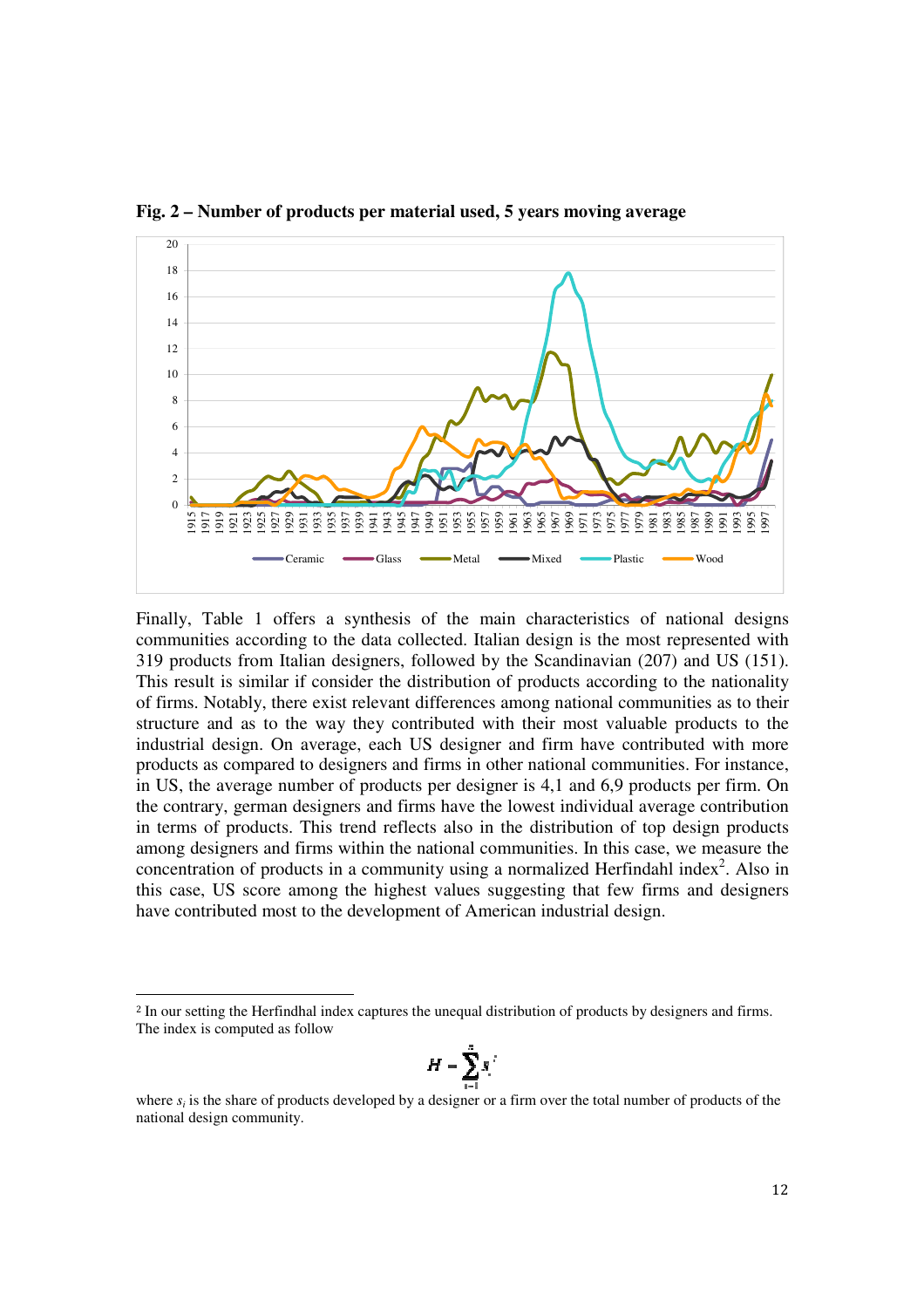

**Fig. 2 – Number of products per material used, 5 years moving average** 

Finally, Table 1 offers a synthesis of the main characteristics of national designs communities according to the data collected. Italian design is the most represented with 319 products from Italian designers, followed by the Scandinavian (207) and US (151). This result is similar if consider the distribution of products according to the nationality of firms. Notably, there exist relevant differences among national communities as to their structure and as to the way they contributed with their most valuable products to the industrial design. On average, each US designer and firm have contributed with more products as compared to designers and firms in other national communities. For instance, in US, the average number of products per designer is 4,1 and 6,9 products per firm. On the contrary, german designers and firms have the lowest individual average contribution in terms of products. This trend reflects also in the distribution of top design products among designers and firms within the national communities. In this case, we measure the concentration of products in a community using a normalized Herfindahl index<sup>2</sup>. Also in this case, US score among the highest values suggesting that few firms and designers have contributed most to the development of American industrial design.

<u>.</u>

$$
H=\sum_{i=1}^n s_i^{-i}
$$

<sup>2</sup> In our setting the Herfindhal index captures the unequal distribution of products by designers and firms. The index is computed as follow

where  $s_i$  is the share of products developed by a designer or a firm over the total number of products of the national design community.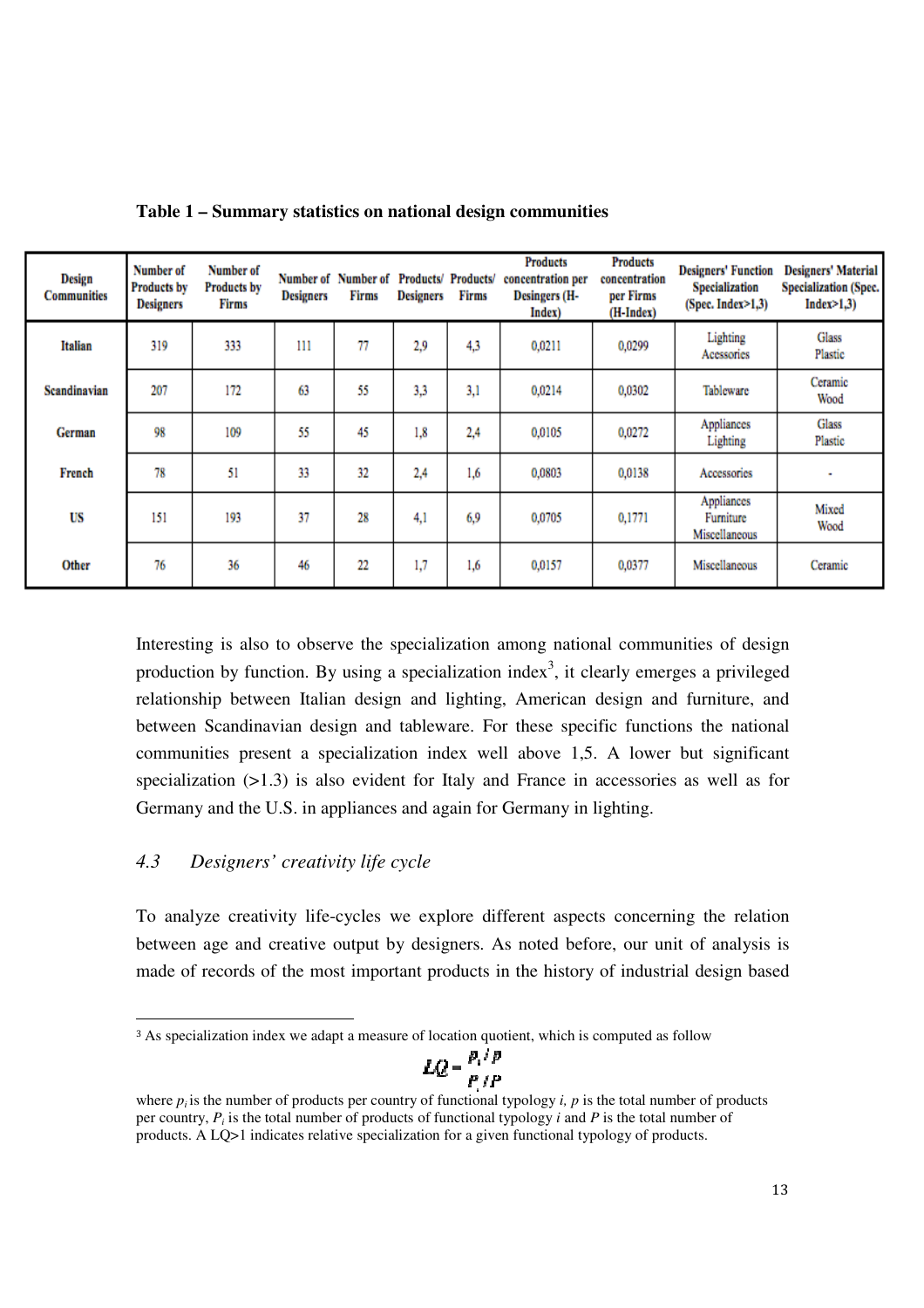| Design<br><b>Communities</b> | Number of<br><b>Products by</b><br><b>Designers</b> | Number of<br><b>Products by</b><br>Firms | <b>Designers</b> | Number of Number of<br>Firms | <b>Designers</b> | Products/ Products/<br>Firms | <b>Products</b><br>concentration per<br>Desingers (H-<br>Index) | <b>Products</b><br>concentration<br>per Firms<br>(H-Index) | <b>Designers' Function</b><br><b>Specialization</b><br>(Spec. Index > 1,3) | <b>Designers' Material</b><br><b>Specialization (Spec.)</b><br>Index>1,3) |
|------------------------------|-----------------------------------------------------|------------------------------------------|------------------|------------------------------|------------------|------------------------------|-----------------------------------------------------------------|------------------------------------------------------------|----------------------------------------------------------------------------|---------------------------------------------------------------------------|
| Italian                      | 319                                                 | 333                                      | 111              | 77                           | 2,9              | 4,3                          | 0,0211                                                          | 0,0299                                                     | Lighting<br>Acessories                                                     | Glass<br>Plastic                                                          |
| Scandinavian                 | 207                                                 | 172                                      | 63               | 55                           | 3,3              | 3,1                          | 0,0214                                                          | 0.0302                                                     | Tableware                                                                  | Ceramic<br>Wood                                                           |
| German                       | 98                                                  | 109                                      | 55               | 45                           | 1.8              | 2.4                          | 0,0105                                                          | 0,0272                                                     | Appliances<br>Lighting                                                     | Glass<br>Plastic                                                          |
| French                       | 78                                                  | 51                                       | 33               | 32                           | 2,4              | 1,6                          | 0,0803                                                          | 0,0138                                                     | Accessories                                                                |                                                                           |
| US                           | 151                                                 | 193                                      | 37               | 28                           | 4,1              | 6.9                          | 0,0705                                                          | 0,1771                                                     | Appliances<br>Furniture<br>Miscellaneous                                   | Mixed<br>Wood                                                             |
| Other                        | 76                                                  | 36                                       | 46               | 22                           | 1.7              | 1,6                          | 0,0157                                                          | 0,0377                                                     | Miscellaneous                                                              | Ceramic                                                                   |

**Table 1 – Summary statistics on national design communities** 

Interesting is also to observe the specialization among national communities of design production by function. By using a specialization index<sup>3</sup>, it clearly emerges a privileged relationship between Italian design and lighting, American design and furniture, and between Scandinavian design and tableware. For these specific functions the national communities present a specialization index well above 1,5. A lower but significant specialization (>1.3) is also evident for Italy and France in accessories as well as for Germany and the U.S. in appliances and again for Germany in lighting.

#### *4.3 Designers' creativity life cycle*

To analyze creativity life-cycles we explore different aspects concerning the relation between age and creative output by designers. As noted before, our unit of analysis is made of records of the most important products in the history of industrial design based

$$
LQ = \frac{P_{i} \wedge P}{P_{i}/P}
$$

<sup>&</sup>lt;u>.</u> <sup>3</sup> As specialization index we adapt a measure of location quotient, which is computed as follow

where  $p_i$  is the number of products per country of functional typology *i*,  $p$  is the total number of products per country, *P<sup>i</sup>* is the total number of products of functional typology *i* and *P* is the total number of products. A LQ>1 indicates relative specialization for a given functional typology of products.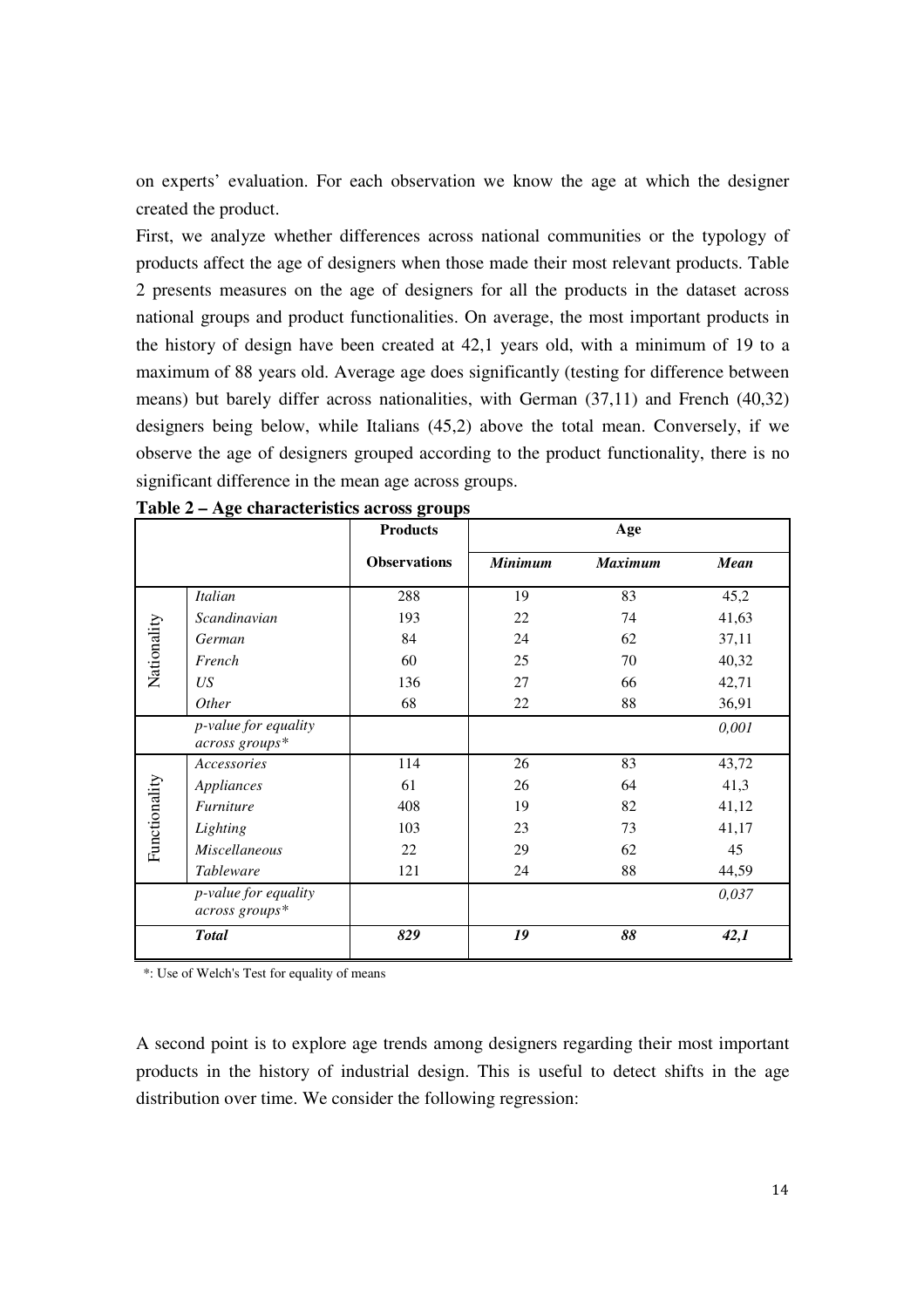on experts' evaluation. For each observation we know the age at which the designer created the product.

First, we analyze whether differences across national communities or the typology of products affect the age of designers when those made their most relevant products. Table 2 presents measures on the age of designers for all the products in the dataset across national groups and product functionalities. On average, the most important products in the history of design have been created at 42,1 years old, with a minimum of 19 to a maximum of 88 years old. Average age does significantly (testing for difference between means) but barely differ across nationalities, with German (37,11) and French (40,32) designers being below, while Italians (45,2) above the total mean. Conversely, if we observe the age of designers grouped according to the product functionality, there is no significant difference in the mean age across groups.

|               |                                        | <b>Products</b>     |                | Age            |       |  |  |  |  |  |  |
|---------------|----------------------------------------|---------------------|----------------|----------------|-------|--|--|--|--|--|--|
|               |                                        | <b>Observations</b> | <b>Minimum</b> | <b>Maximum</b> | Mean  |  |  |  |  |  |  |
|               | <b>Italian</b>                         | 288                 | 19             | 83             | 45,2  |  |  |  |  |  |  |
|               | Scandinavian                           | 193                 | 22             | 74             | 41,63 |  |  |  |  |  |  |
|               | German                                 | 84                  | 24             | 62             | 37,11 |  |  |  |  |  |  |
| Nationality   | French                                 | 60                  | 25             | 70             | 40,32 |  |  |  |  |  |  |
|               | US <sub>1</sub>                        | 136                 | 27             | 66             | 42,71 |  |  |  |  |  |  |
|               | <i>Other</i>                           | 68                  | 22             | 88             | 36,91 |  |  |  |  |  |  |
|               | p-value for equality                   |                     |                |                | 0,001 |  |  |  |  |  |  |
|               | across groups*                         |                     |                |                |       |  |  |  |  |  |  |
|               | Accessories                            | 114                 | 26             | 83             | 43,72 |  |  |  |  |  |  |
|               | Appliances                             | 61                  | 26             | 64             | 41,3  |  |  |  |  |  |  |
|               | Furniture                              | 408                 | 19             | 82             | 41,12 |  |  |  |  |  |  |
| Functionality | Lighting                               | 103                 | 23             | 73             | 41,17 |  |  |  |  |  |  |
|               | <b>Miscellaneous</b>                   | 22                  | 29             | 62             | 45    |  |  |  |  |  |  |
|               | <i>Tableware</i>                       | 121                 | 24             | 88             | 44,59 |  |  |  |  |  |  |
|               | p-value for equality<br>across groups* |                     |                |                | 0,037 |  |  |  |  |  |  |
|               | <b>Total</b>                           | 829                 | 19             | 88             | 42,1  |  |  |  |  |  |  |

**Table 2 – Age characteristics across groups** 

\*: Use of Welch's Test for equality of means

A second point is to explore age trends among designers regarding their most important products in the history of industrial design. This is useful to detect shifts in the age distribution over time. We consider the following regression: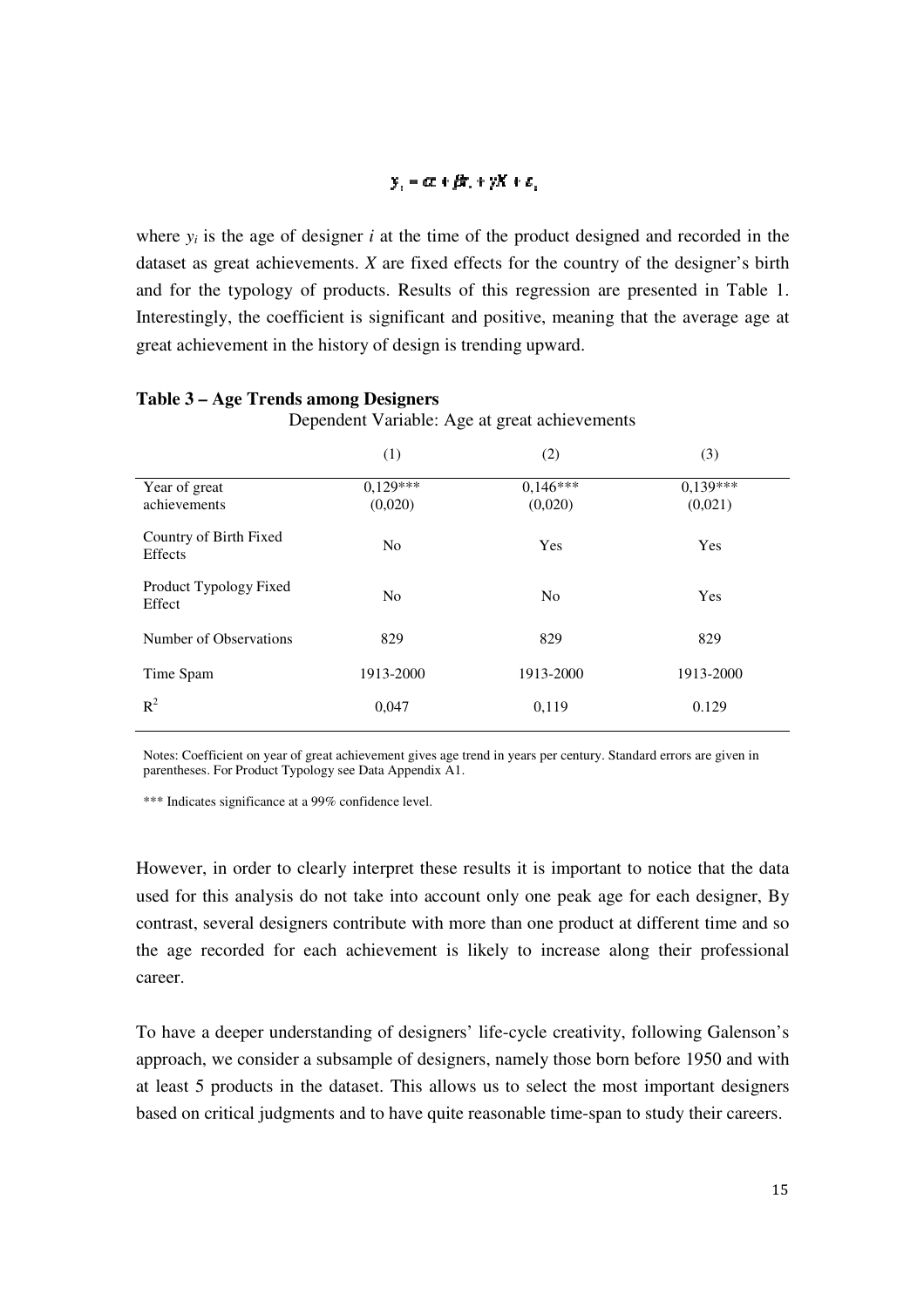#### $y_i = \alpha + \beta t_i + \gamma X + \epsilon_i$

where  $y_i$  is the age of designer  $i$  at the time of the product designed and recorded in the dataset as great achievements. *X* are fixed effects for the country of the designer's birth and for the typology of products. Results of this regression are presented in Table 1. Interestingly, the coefficient is significant and positive, meaning that the average age at great achievement in the history of design is trending upward.

|                                   | (1)                   | (2)                   | (3)                   |
|-----------------------------------|-----------------------|-----------------------|-----------------------|
| Year of great<br>achievements     | $0.129***$<br>(0,020) | $0,146***$<br>(0,020) | $0.139***$<br>(0,021) |
| Country of Birth Fixed<br>Effects | N <sub>o</sub>        | Yes                   | Yes                   |
| Product Typology Fixed<br>Effect  | N <sub>o</sub>        | N <sub>0</sub>        | Yes                   |
| Number of Observations            | 829                   | 829                   | 829                   |
| Time Spam                         | 1913-2000             | 1913-2000             | 1913-2000             |
| $R^2$                             | 0,047                 | 0,119                 | 0.129                 |

#### **Table 3 – Age Trends among Designers**

Dependent Variable: Age at great achievements

Notes: Coefficient on year of great achievement gives age trend in years per century. Standard errors are given in parentheses. For Product Typology see Data Appendix A1.

\*\*\* Indicates significance at a 99% confidence level.

However, in order to clearly interpret these results it is important to notice that the data used for this analysis do not take into account only one peak age for each designer, By contrast, several designers contribute with more than one product at different time and so the age recorded for each achievement is likely to increase along their professional career.

To have a deeper understanding of designers' life-cycle creativity, following Galenson's approach, we consider a subsample of designers, namely those born before 1950 and with at least 5 products in the dataset. This allows us to select the most important designers based on critical judgments and to have quite reasonable time-span to study their careers.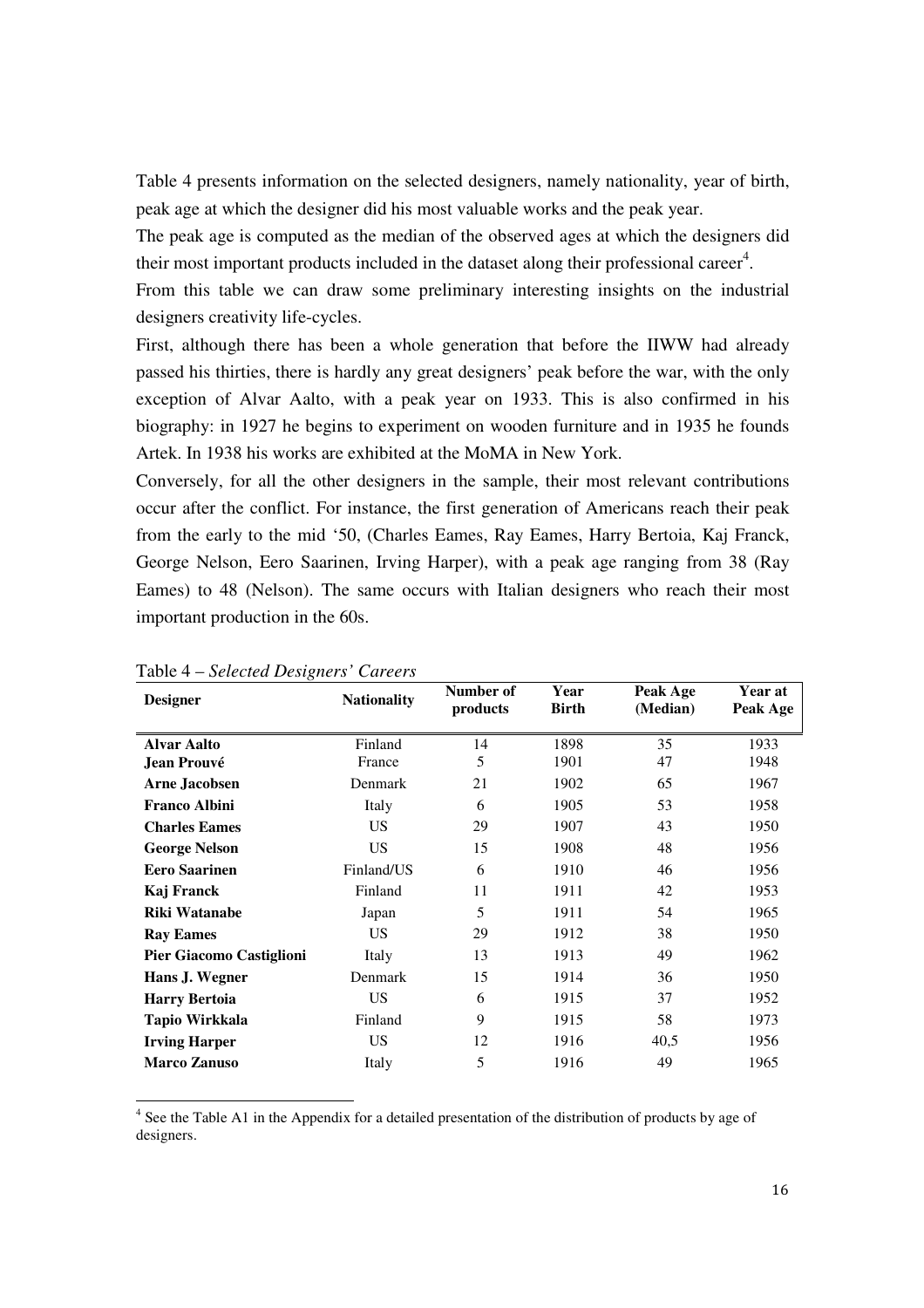Table 4 presents information on the selected designers, namely nationality, year of birth, peak age at which the designer did his most valuable works and the peak year.

The peak age is computed as the median of the observed ages at which the designers did their most important products included in the dataset along their professional career<sup>4</sup>.

From this table we can draw some preliminary interesting insights on the industrial designers creativity life-cycles.

First, although there has been a whole generation that before the IIWW had already passed his thirties, there is hardly any great designers' peak before the war, with the only exception of Alvar Aalto, with a peak year on 1933. This is also confirmed in his biography: in 1927 he begins to experiment on wooden furniture and in 1935 he founds Artek. In 1938 his works are exhibited at the MoMA in New York.

Conversely, for all the other designers in the sample, their most relevant contributions occur after the conflict. For instance, the first generation of Americans reach their peak from the early to the mid '50, (Charles Eames, Ray Eames, Harry Bertoia, Kaj Franck, George Nelson, Eero Saarinen, Irving Harper), with a peak age ranging from 38 (Ray Eames) to 48 (Nelson). The same occurs with Italian designers who reach their most important production in the 60s.

| <b>Designer</b>                 | <b>Nationality</b> | Number of<br>products | Year<br><b>Birth</b> | Peak Age<br>(Median) | Year at<br>Peak Age |
|---------------------------------|--------------------|-----------------------|----------------------|----------------------|---------------------|
| <b>Alvar Aalto</b>              | Finland            | 14                    | 1898                 | 35                   | 1933                |
| <b>Jean Prouvé</b>              | France             | 5                     | 1901                 | 47                   | 1948                |
| <b>Arne Jacobsen</b>            | Denmark            | 21                    | 1902                 | 65                   | 1967                |
| <b>Franco Albini</b>            | Italy              | 6                     | 1905                 | 53                   | 1958                |
| <b>Charles Eames</b>            | US                 | 29                    | 1907                 | 43                   | 1950                |
| <b>George Nelson</b>            | US.                | 15                    | 1908                 | 48                   | 1956                |
| <b>Eero Saarinen</b>            | Finland/US         | 6                     | 1910                 | 46                   | 1956                |
| Kaj Franck                      | Finland            | 11                    | 1911                 | 42                   | 1953                |
| <b>Riki Watanabe</b>            | Japan              | 5                     | 1911                 | 54                   | 1965                |
| <b>Ray Eames</b>                | US.                | 29                    | 1912                 | 38                   | 1950                |
| <b>Pier Giacomo Castiglioni</b> | Italy              | 13                    | 1913                 | 49                   | 1962                |
| Hans J. Wegner                  | Denmark            | 15                    | 1914                 | 36                   | 1950                |
| <b>Harry Bertoia</b>            | US.                | 6                     | 1915                 | 37                   | 1952                |
| Tapio Wirkkala                  | Finland            | 9                     | 1915                 | 58                   | 1973                |
| <b>Irving Harper</b>            | US.                | 12                    | 1916                 | 40,5                 | 1956                |
| <b>Marco Zanuso</b>             | Italy              | 5                     | 1916                 | 49                   | 1965                |

Table 4 – *Selected Designers' Careers*

<sup>4</sup> See the Table A1 in the Appendix for a detailed presentation of the distribution of products by age of designers.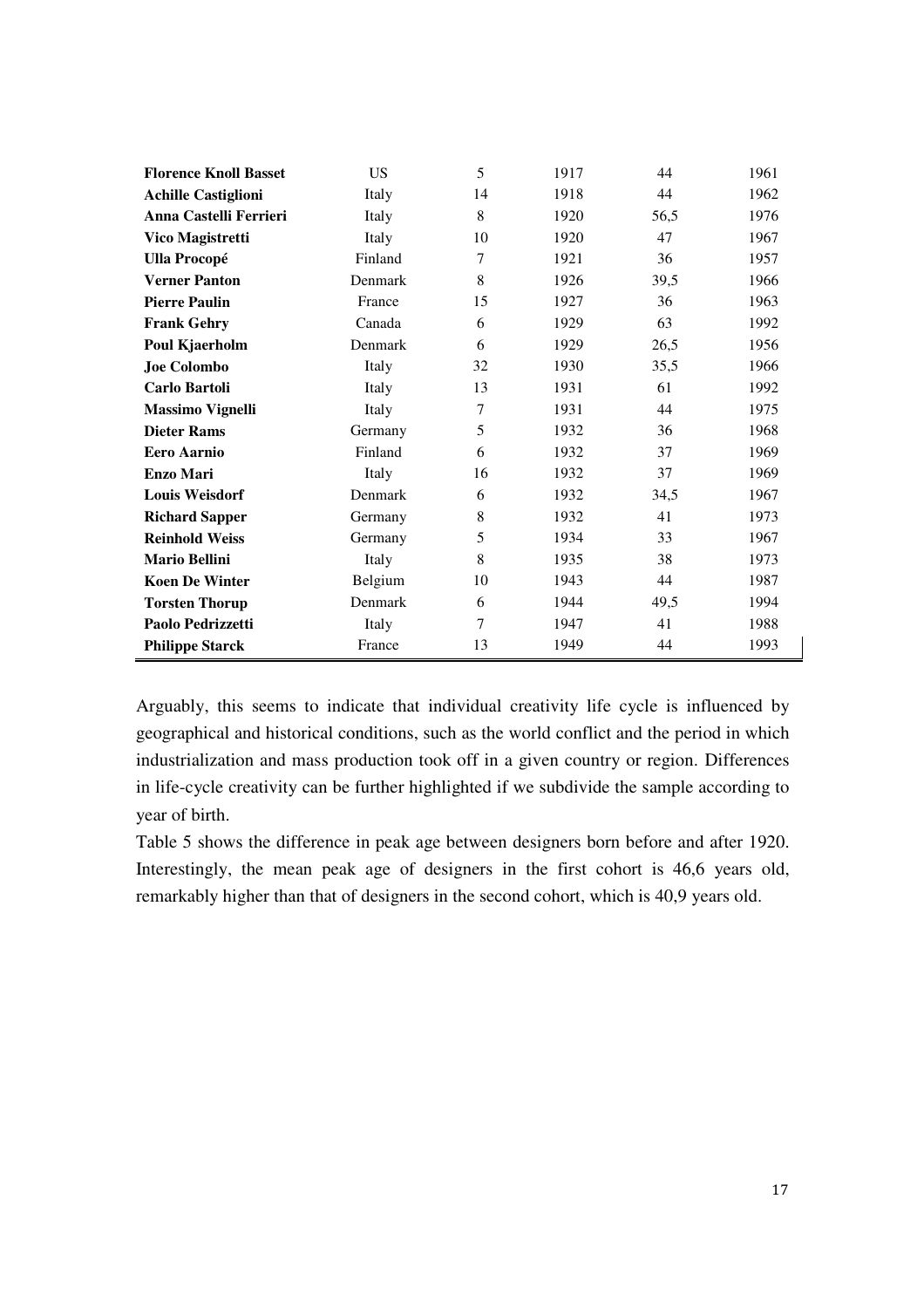| <b>Florence Knoll Basset</b> | <b>US</b> | 5      | 1917 | 44   | 1961 |
|------------------------------|-----------|--------|------|------|------|
| <b>Achille Castiglioni</b>   | Italy     | 14     | 1918 | 44   | 1962 |
| Anna Castelli Ferrieri       | Italy     | 8      | 1920 | 56,5 | 1976 |
| <b>Vico Magistretti</b>      | Italy     | 10     | 1920 | 47   | 1967 |
| <b>Ulla Procopé</b>          | Finland   | 7      | 1921 | 36   | 1957 |
| <b>Verner Panton</b>         | Denmark   | 8      | 1926 | 39,5 | 1966 |
| <b>Pierre Paulin</b>         | France    | 15     | 1927 | 36   | 1963 |
| <b>Frank Gehry</b>           | Canada    | 6      | 1929 | 63   | 1992 |
| Poul Kjaerholm               | Denmark   | 6      | 1929 | 26,5 | 1956 |
| <b>Joe Colombo</b>           | Italy     | 32     | 1930 | 35,5 | 1966 |
| Carlo Bartoli                | Italy     | 13     | 1931 | 61   | 1992 |
| <b>Massimo Vignelli</b>      | Italy     | 7      | 1931 | 44   | 1975 |
| <b>Dieter Rams</b>           | Germany   | 5      | 1932 | 36   | 1968 |
| <b>Eero Aarnio</b>           | Finland   | 6      | 1932 | 37   | 1969 |
| <b>Enzo Mari</b>             | Italy     | 16     | 1932 | 37   | 1969 |
| <b>Louis Weisdorf</b>        | Denmark   | 6      | 1932 | 34,5 | 1967 |
| <b>Richard Sapper</b>        | Germany   | 8      | 1932 | 41   | 1973 |
| <b>Reinhold Weiss</b>        | Germany   | 5      | 1934 | 33   | 1967 |
| <b>Mario Bellini</b>         | Italy     | 8      | 1935 | 38   | 1973 |
| <b>Koen De Winter</b>        | Belgium   | 10     | 1943 | 44   | 1987 |
| <b>Torsten Thorup</b>        | Denmark   | 6      | 1944 | 49,5 | 1994 |
| Paolo Pedrizzetti            | Italy     | $\tau$ | 1947 | 41   | 1988 |
| <b>Philippe Starck</b>       | France    | 13     | 1949 | 44   | 1993 |

Arguably, this seems to indicate that individual creativity life cycle is influenced by geographical and historical conditions, such as the world conflict and the period in which industrialization and mass production took off in a given country or region. Differences in life-cycle creativity can be further highlighted if we subdivide the sample according to year of birth.

Table 5 shows the difference in peak age between designers born before and after 1920. Interestingly, the mean peak age of designers in the first cohort is 46,6 years old, remarkably higher than that of designers in the second cohort, which is 40,9 years old.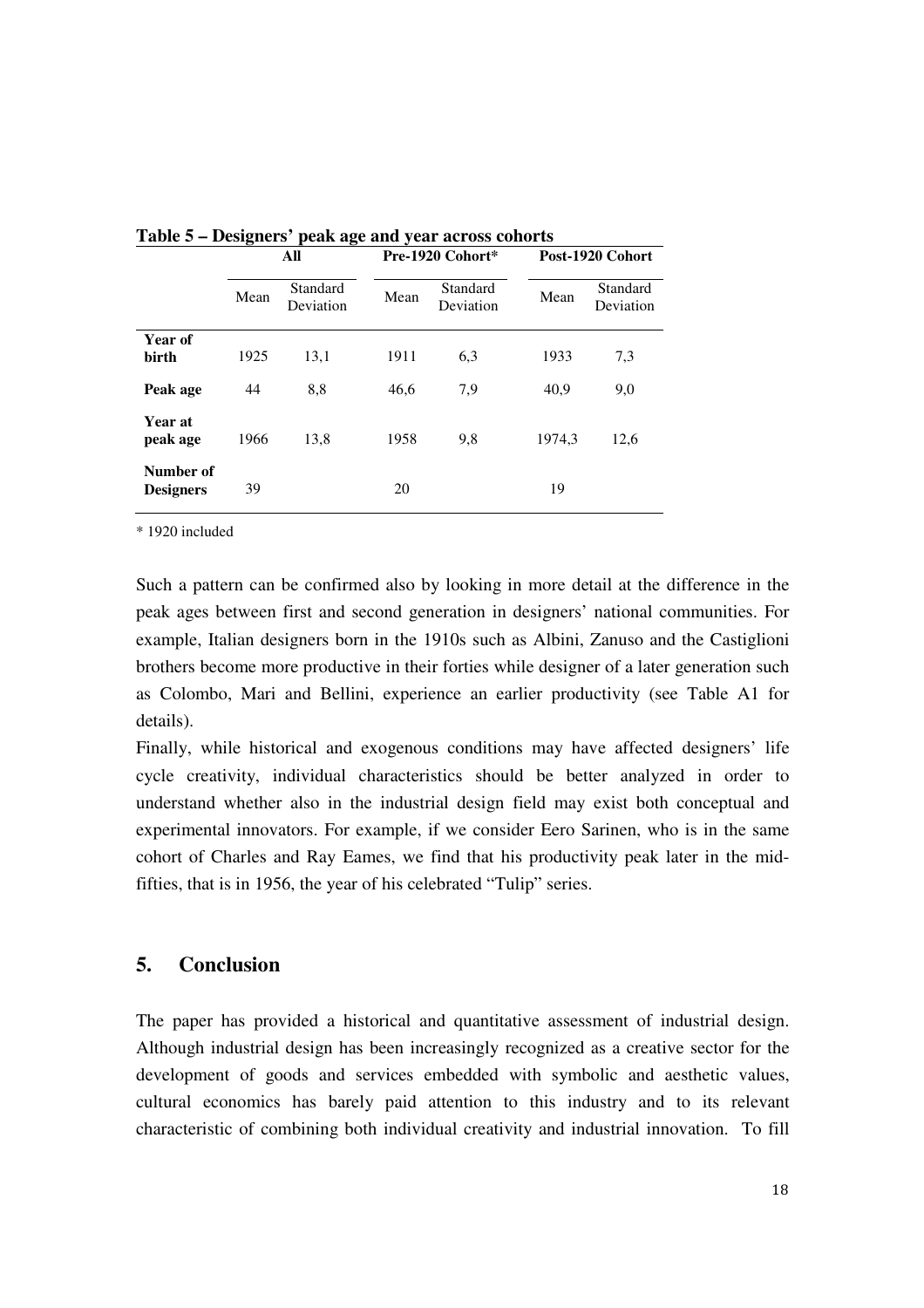|                               | 。    | - -<br>All            |      | Pre-1920 Cohort*      | Post-1920 Cohort |                       |  |  |  |
|-------------------------------|------|-----------------------|------|-----------------------|------------------|-----------------------|--|--|--|
|                               | Mean | Standard<br>Deviation | Mean | Standard<br>Deviation | Mean             | Standard<br>Deviation |  |  |  |
| Year of<br>birth              | 1925 | 13,1                  | 1911 | 6,3                   | 1933             | 7,3                   |  |  |  |
| Peak age                      | 44   | 8,8                   | 46,6 | 7,9                   | 40,9             | 9,0                   |  |  |  |
| <b>Year at</b><br>peak age    | 1966 | 13,8                  | 1958 | 9,8                   | 1974.3           | 12,6                  |  |  |  |
| Number of<br><b>Designers</b> | 39   |                       | 20   |                       | 19               |                       |  |  |  |

**Table 5 – Designers' peak age and year across cohorts** 

\* 1920 included

Such a pattern can be confirmed also by looking in more detail at the difference in the peak ages between first and second generation in designers' national communities. For example, Italian designers born in the 1910s such as Albini, Zanuso and the Castiglioni brothers become more productive in their forties while designer of a later generation such as Colombo, Mari and Bellini, experience an earlier productivity (see Table A1 for details).

Finally, while historical and exogenous conditions may have affected designers' life cycle creativity, individual characteristics should be better analyzed in order to understand whether also in the industrial design field may exist both conceptual and experimental innovators. For example, if we consider Eero Sarinen, who is in the same cohort of Charles and Ray Eames, we find that his productivity peak later in the midfifties, that is in 1956, the year of his celebrated "Tulip" series.

#### **5. Conclusion**

The paper has provided a historical and quantitative assessment of industrial design. Although industrial design has been increasingly recognized as a creative sector for the development of goods and services embedded with symbolic and aesthetic values, cultural economics has barely paid attention to this industry and to its relevant characteristic of combining both individual creativity and industrial innovation. To fill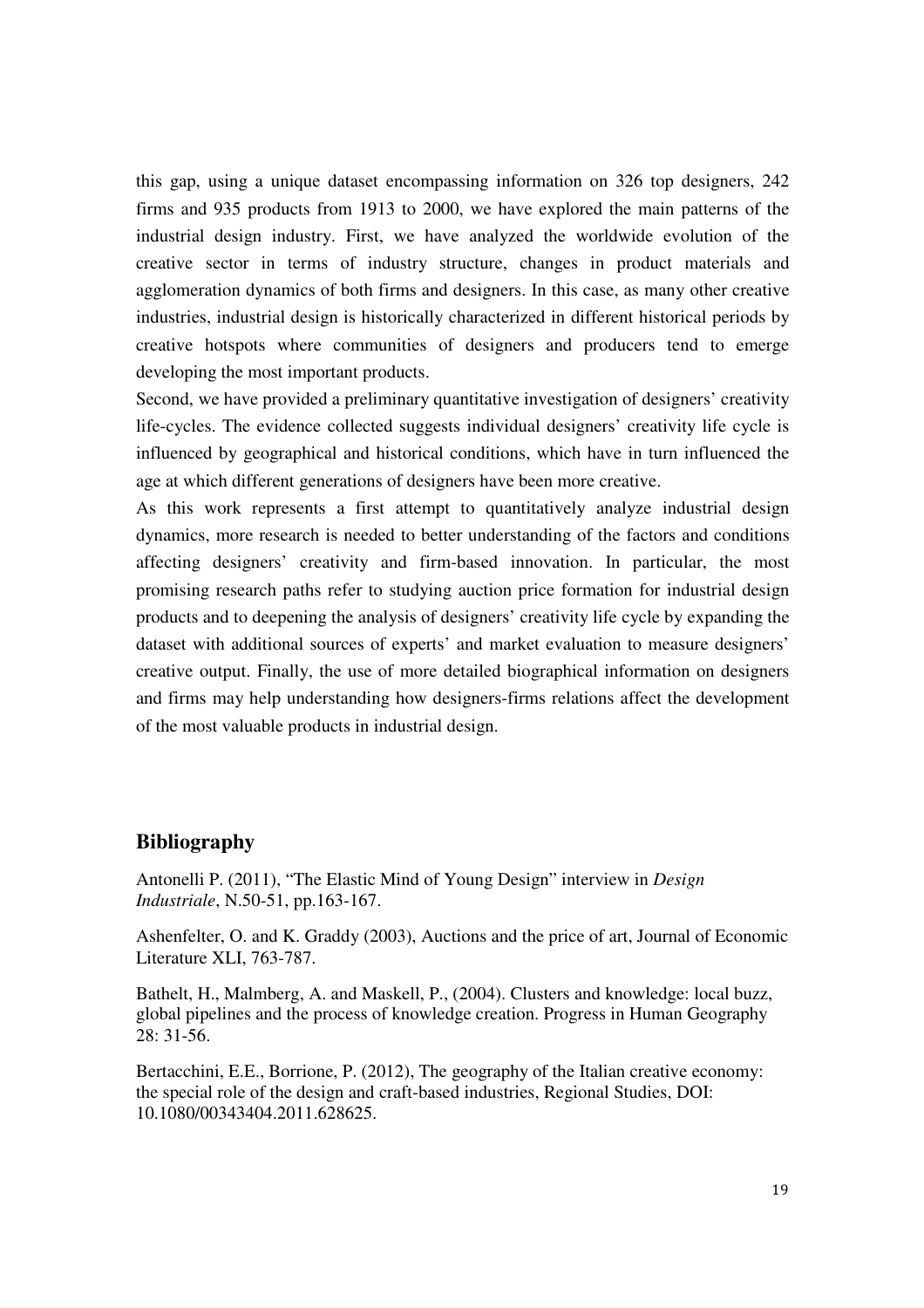this gap, using a unique dataset encompassing information on 326 top designers, 242 firms and 935 products from 1913 to 2000, we have explored the main patterns of the industrial design industry. First, we have analyzed the worldwide evolution of the creative sector in terms of industry structure, changes in product materials and agglomeration dynamics of both firms and designers. In this case, as many other creative industries, industrial design is historically characterized in different historical periods by creative hotspots where communities of designers and producers tend to emerge developing the most important products.

Second, we have provided a preliminary quantitative investigation of designers' creativity life-cycles. The evidence collected suggests individual designers' creativity life cycle is influenced by geographical and historical conditions, which have in turn influenced the age at which different generations of designers have been more creative.

As this work represents a first attempt to quantitatively analyze industrial design dynamics, more research is needed to better understanding of the factors and conditions affecting designers' creativity and firm-based innovation. In particular, the most promising research paths refer to studying auction price formation for industrial design products and to deepening the analysis of designers' creativity life cycle by expanding the dataset with additional sources of experts' and market evaluation to measure designers' creative output. Finally, the use of more detailed biographical information on designers and firms may help understanding how designers-firms relations affect the development of the most valuable products in industrial design.

#### **Bibliography**

Antonelli P. (2011), "The Elastic Mind of Young Design" interview in *Design Industriale*, N.50-51, pp.163-167.

Ashenfelter, O. and K. Graddy (2003), Auctions and the price of art, Journal of Economic Literature XLI, 763-787.

Bathelt, H., Malmberg, A. and Maskell, P., (2004). Clusters and knowledge: local buzz, global pipelines and the process of knowledge creation. Progress in Human Geography 28: 31-56.

Bertacchini, E.E., Borrione, P. (2012), The geography of the Italian creative economy: the special role of the design and craft-based industries, Regional Studies, DOI: 10.1080/00343404.2011.628625.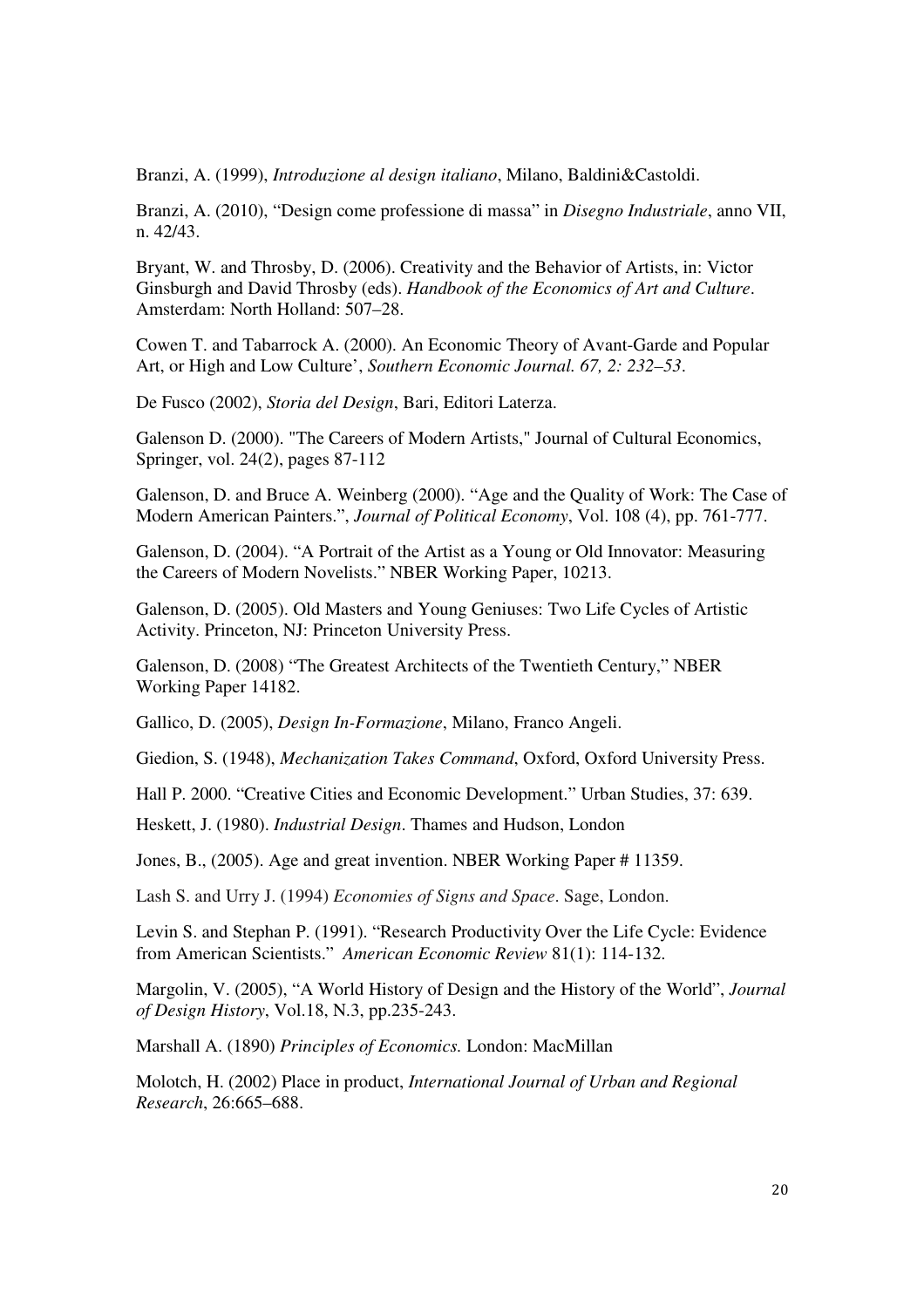Branzi, A. (1999), *Introduzione al design italiano*, Milano, Baldini&Castoldi.

Branzi, A. (2010), "Design come professione di massa" in *Disegno Industriale*, anno VII, n. 42/43.

Bryant, W. and Throsby, D. (2006). Creativity and the Behavior of Artists, in: Victor Ginsburgh and David Throsby (eds). *Handbook of the Economics of Art and Culture*. Amsterdam: North Holland: 507–28.

Cowen T. and Tabarrock A. (2000). An Economic Theory of Avant-Garde and Popular Art, or High and Low Culture', *Southern Economic Journal. 67, 2: 232–53*.

De Fusco (2002), *Storia del Design*, Bari, Editori Laterza.

Galenson D. (2000). "The Careers of Modern Artists," Journal of Cultural Economics, Springer, vol. 24(2), pages 87-112

Galenson, D. and Bruce A. Weinberg (2000). "Age and the Quality of Work: The Case of Modern American Painters.", *Journal of Political Economy*, Vol. 108 (4), pp. 761-777.

Galenson, D. (2004). "A Portrait of the Artist as a Young or Old Innovator: Measuring the Careers of Modern Novelists." NBER Working Paper, 10213.

Galenson, D. (2005). Old Masters and Young Geniuses: Two Life Cycles of Artistic Activity. Princeton, NJ: Princeton University Press.

Galenson, D. (2008) "The Greatest Architects of the Twentieth Century," NBER Working Paper 14182.

Gallico, D. (2005), *Design In-Formazione*, Milano, Franco Angeli.

Giedion, S. (1948), *Mechanization Takes Command*, Oxford, Oxford University Press.

Hall P. 2000. "Creative Cities and Economic Development." Urban Studies, 37: 639.

Heskett, J. (1980). *Industrial Design*. Thames and Hudson, London

Jones, B., (2005). Age and great invention. NBER Working Paper # 11359.

Lash S. and Urry J. (1994) *Economies of Signs and Space*. Sage, London.

Levin S. and Stephan P. (1991). "Research Productivity Over the Life Cycle: Evidence from American Scientists." *American Economic Review* 81(1): 114-132.

Margolin, V. (2005), "A World History of Design and the History of the World", *Journal of Design History*, Vol.18, N.3, pp.235-243.

Marshall A. (1890) *Principles of Economics.* London: MacMillan

Molotch, H. (2002) Place in product, *International Journal of Urban and Regional Research*, 26:665–688.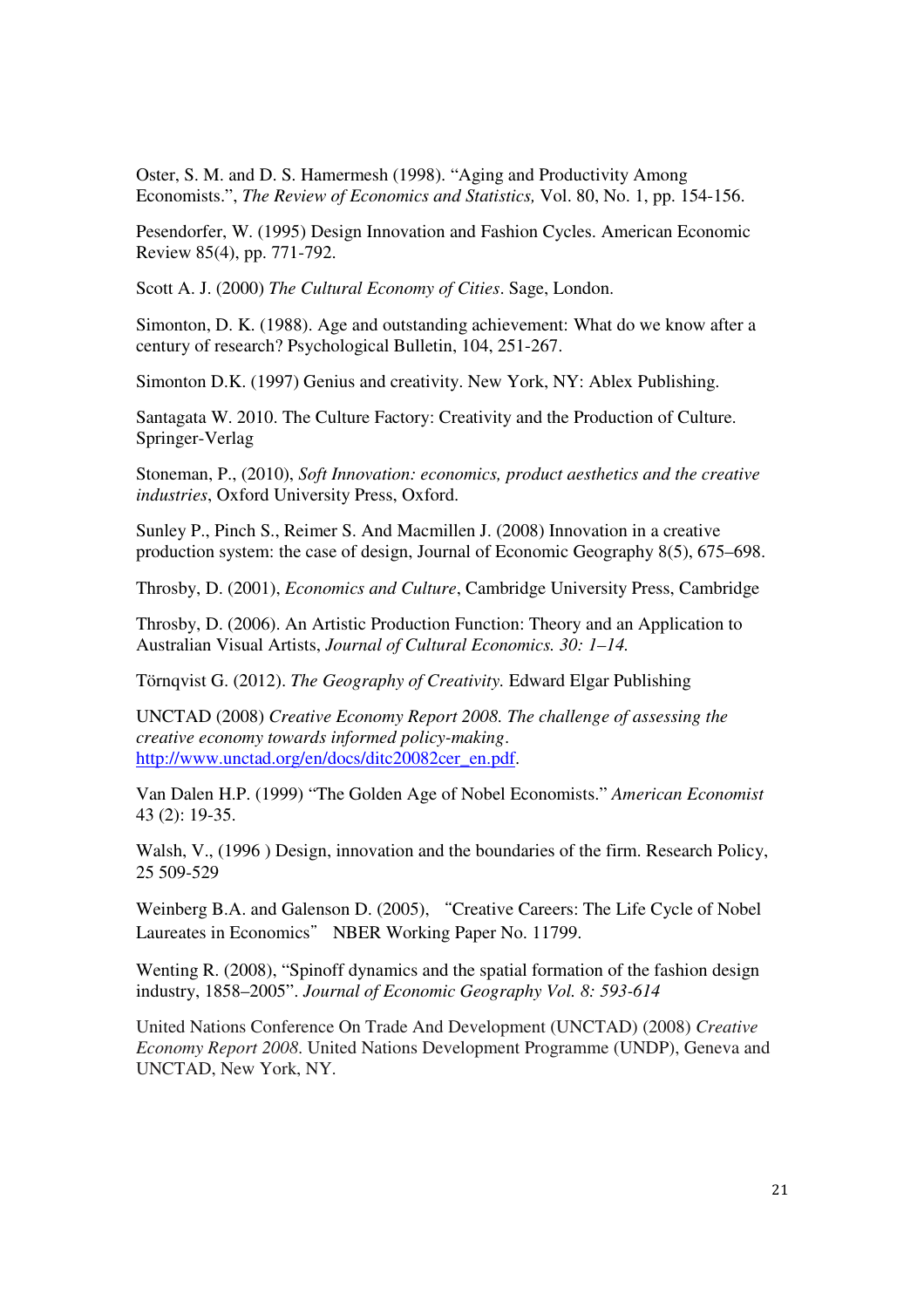Oster, S. M. and D. S. Hamermesh (1998). "Aging and Productivity Among Economists.", *The Review of Economics and Statistics,* Vol. 80, No. 1, pp. 154-156.

Pesendorfer, W. (1995) Design Innovation and Fashion Cycles. American Economic Review 85(4), pp. 771-792.

Scott A. J. (2000) *The Cultural Economy of Cities*. Sage, London.

Simonton, D. K. (1988). Age and outstanding achievement: What do we know after a century of research? Psychological Bulletin, 104, 251-267.

Simonton D.K. (1997) Genius and creativity. New York, NY: Ablex Publishing.

Santagata W. 2010. The Culture Factory: Creativity and the Production of Culture. Springer-Verlag

Stoneman, P., (2010), *Soft Innovation: economics, product aesthetics and the creative industries*, Oxford University Press, Oxford.

Sunley P., Pinch S., Reimer S. And Macmillen J. (2008) Innovation in a creative production system: the case of design, Journal of Economic Geography 8(5), 675–698.

Throsby, D. (2001), *Economics and Culture*, Cambridge University Press, Cambridge

Throsby, D. (2006). An Artistic Production Function: Theory and an Application to Australian Visual Artists, *Journal of Cultural Economics. 30: 1–14.* 

Törnqvist G. (2012). *The Geography of Creativity.* Edward Elgar Publishing

UNCTAD (2008) *Creative Economy Report 2008. The challenge of assessing the creative economy towards informed policy-making*. http://www.unctad.org/en/docs/ditc20082cer\_en.pdf.

Van Dalen H.P. (1999) "The Golden Age of Nobel Economists." *American Economist* 43 (2): 19-35.

Walsh, V., (1996 ) Design, innovation and the boundaries of the firm. Research Policy, 25 509-529

Weinberg B.A. and Galenson D. (2005), "Creative Careers: The Life Cycle of Nobel Laureates in Economics" NBER Working Paper No. 11799.

Wenting R. (2008), "Spinoff dynamics and the spatial formation of the fashion design industry, 1858–2005". *Journal of Economic Geography Vol. 8: 593-614* 

United Nations Conference On Trade And Development (UNCTAD) (2008) *Creative Economy Report 2008*. United Nations Development Programme (UNDP), Geneva and UNCTAD, New York, NY.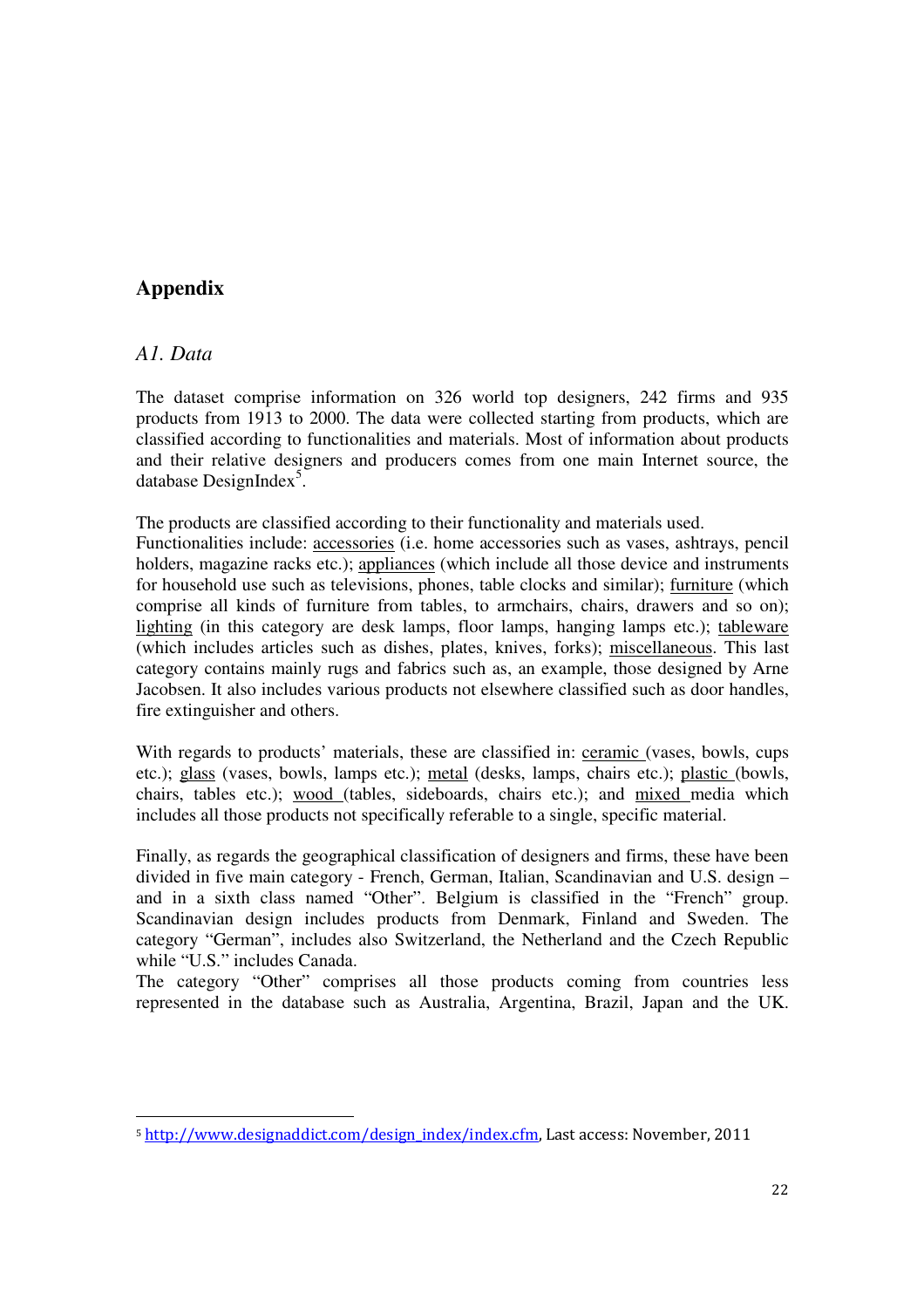### **Appendix**

#### *A1. Data*

<u>.</u>

The dataset comprise information on 326 world top designers, 242 firms and 935 products from 1913 to 2000. The data were collected starting from products, which are classified according to functionalities and materials. Most of information about products and their relative designers and producers comes from one main Internet source, the database DesignIndex<sup>5</sup>.

The products are classified according to their functionality and materials used.

Functionalities include: accessories (i.e. home accessories such as vases, ashtrays, pencil holders, magazine racks etc.); appliances (which include all those device and instruments for household use such as televisions, phones, table clocks and similar); furniture (which comprise all kinds of furniture from tables, to armchairs, chairs, drawers and so on); lighting (in this category are desk lamps, floor lamps, hanging lamps etc.); tableware (which includes articles such as dishes, plates, knives, forks); miscellaneous. This last category contains mainly rugs and fabrics such as, an example, those designed by Arne Jacobsen. It also includes various products not elsewhere classified such as door handles, fire extinguisher and others.

With regards to products' materials, these are classified in: ceramic (vases, bowls, cups etc.); glass (vases, bowls, lamps etc.); metal (desks, lamps, chairs etc.); plastic (bowls, chairs, tables etc.); wood (tables, sideboards, chairs etc.); and mixed media which includes all those products not specifically referable to a single, specific material.

Finally, as regards the geographical classification of designers and firms, these have been divided in five main category - French, German, Italian, Scandinavian and U.S. design – and in a sixth class named "Other". Belgium is classified in the "French" group. Scandinavian design includes products from Denmark, Finland and Sweden. The category "German", includes also Switzerland, the Netherland and the Czech Republic while "U.S." includes Canada.

The category "Other" comprises all those products coming from countries less represented in the database such as Australia, Argentina, Brazil, Japan and the UK.

<sup>5</sup> http://www.designaddict.com/design\_index/index.cfm, Last access: November, 2011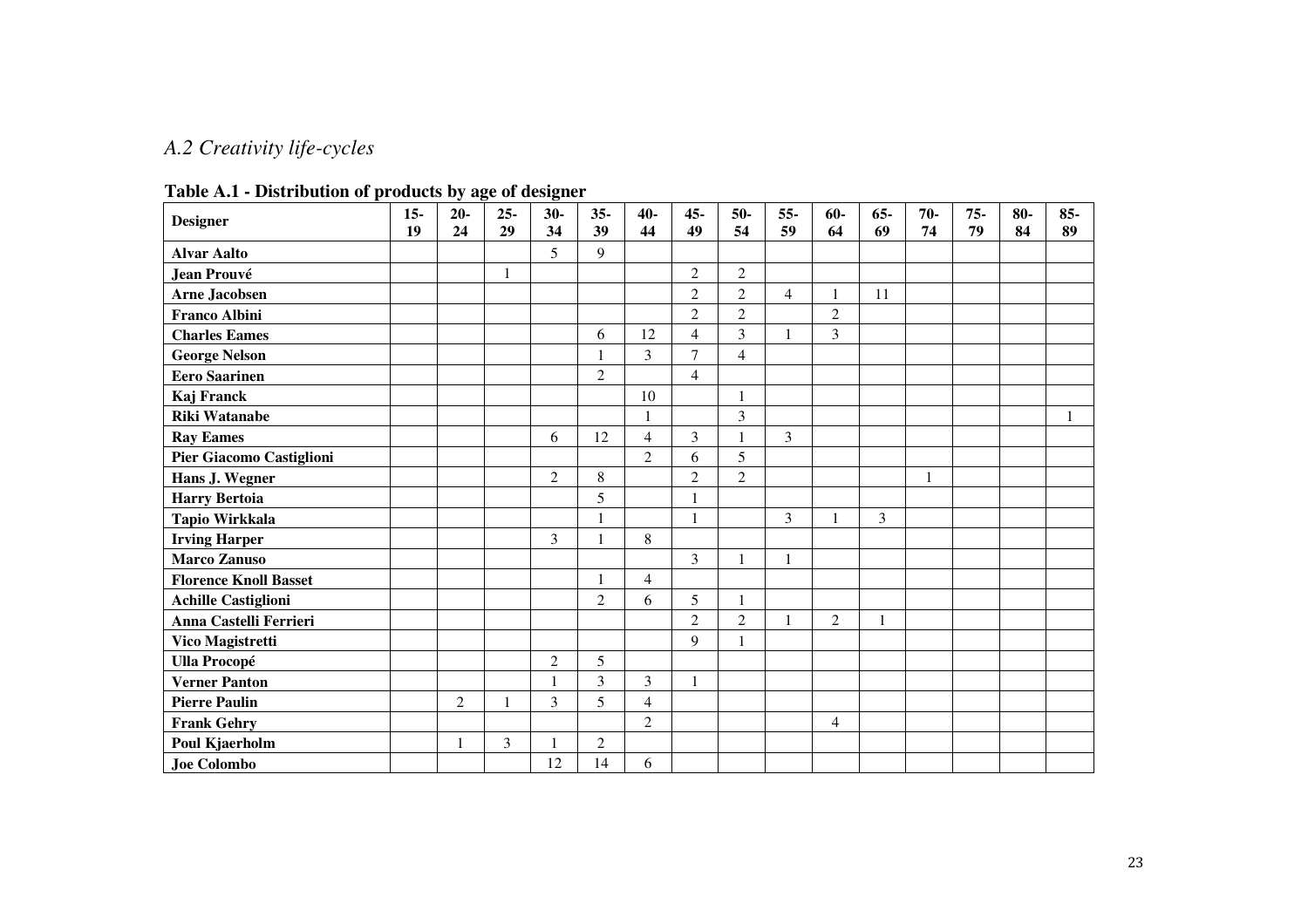## *A.2 Creativity life-cycles*

| <b>Designer</b>              | $15-$<br>19 | $20-$<br>24    | $25 -$<br>29 | $30-$<br>34    | $35 -$<br>39   | $40 -$<br>44   | $45 -$<br>49   | $50-$<br>54    | $55 -$<br>59   | $60-$<br>64    | $65 -$<br>69 | $70-$<br>74  | $75 -$<br>79 | $80-$<br>84 | 85-<br>89 |
|------------------------------|-------------|----------------|--------------|----------------|----------------|----------------|----------------|----------------|----------------|----------------|--------------|--------------|--------------|-------------|-----------|
| <b>Alvar Aalto</b>           |             |                |              | 5              | $\mathbf Q$    |                |                |                |                |                |              |              |              |             |           |
| <b>Jean Prouvé</b>           |             |                | $\mathbf{1}$ |                |                |                | $\mathbf{2}$   | $\overline{2}$ |                |                |              |              |              |             |           |
| <b>Arne Jacobsen</b>         |             |                |              |                |                |                | $\overline{2}$ | $\overline{2}$ | $\overline{4}$ | 1              | 11           |              |              |             |           |
| <b>Franco Albini</b>         |             |                |              |                |                |                | $\overline{2}$ | $\overline{2}$ |                | $\overline{2}$ |              |              |              |             |           |
| <b>Charles Eames</b>         |             |                |              |                | 6              | 12             | $\overline{4}$ | 3              | 1              | 3              |              |              |              |             |           |
| <b>George Nelson</b>         |             |                |              |                |                | 3              | $\overline{7}$ | $\overline{4}$ |                |                |              |              |              |             |           |
| <b>Eero Saarinen</b>         |             |                |              |                | $\overline{2}$ |                | $\overline{4}$ |                |                |                |              |              |              |             |           |
| Kaj Franck                   |             |                |              |                |                | 10             |                | $\mathbf{1}$   |                |                |              |              |              |             |           |
| <b>Riki Watanabe</b>         |             |                |              |                |                | $\mathbf{1}$   |                | 3              |                |                |              |              |              |             | 1         |
| <b>Ray Eames</b>             |             |                |              | 6              | 12             | $\overline{4}$ | 3              | 1              | $\overline{3}$ |                |              |              |              |             |           |
| Pier Giacomo Castiglioni     |             |                |              |                |                | $\overline{2}$ | 6              | 5              |                |                |              |              |              |             |           |
| Hans J. Wegner               |             |                |              | $\overline{2}$ | 8              |                | $\overline{2}$ | $\overline{2}$ |                |                |              | $\mathbf{1}$ |              |             |           |
| <b>Harry Bertoia</b>         |             |                |              |                | 5              |                | 1              |                |                |                |              |              |              |             |           |
| Tapio Wirkkala               |             |                |              |                |                |                | $\mathbf{1}$   |                | 3              | 1              | 3            |              |              |             |           |
| <b>Irving Harper</b>         |             |                |              | 3              |                | 8              |                |                |                |                |              |              |              |             |           |
| <b>Marco Zanuso</b>          |             |                |              |                |                |                | 3              | 1              | 1              |                |              |              |              |             |           |
| <b>Florence Knoll Basset</b> |             |                |              |                |                | $\overline{4}$ |                |                |                |                |              |              |              |             |           |
| <b>Achille Castiglioni</b>   |             |                |              |                | $\overline{2}$ | 6              | 5              | 1              |                |                |              |              |              |             |           |
| Anna Castelli Ferrieri       |             |                |              |                |                |                | $\overline{2}$ | $\overline{2}$ | 1              | $\overline{2}$ | 1            |              |              |             |           |
| Vico Magistretti             |             |                |              |                |                |                | 9              | 1              |                |                |              |              |              |             |           |
| <b>Ulla Procopé</b>          |             |                |              | $\overline{c}$ | 5              |                |                |                |                |                |              |              |              |             |           |
| <b>Verner Panton</b>         |             |                |              | 1              | 3              | 3              | 1              |                |                |                |              |              |              |             |           |
| <b>Pierre Paulin</b>         |             | $\overline{c}$ |              | 3              | 5              | $\overline{4}$ |                |                |                |                |              |              |              |             |           |
| <b>Frank Gehry</b>           |             |                |              |                |                | $\overline{2}$ |                |                |                | 4              |              |              |              |             |           |
| Poul Kjaerholm               |             | 1              | 3            |                | 2              |                |                |                |                |                |              |              |              |             |           |
| <b>Joe Colombo</b>           |             |                |              | 12             | 14             | 6              |                |                |                |                |              |              |              |             |           |

**Table A.1 - Distribution of products by age of designer**